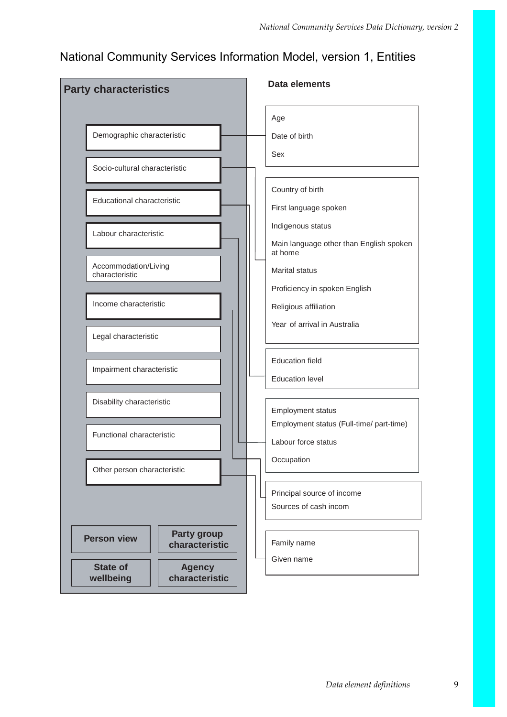## National Community Services Information Model, version 1, Entities

| <b>Party characteristics</b>                                    | <b>Data elements</b>                                |
|-----------------------------------------------------------------|-----------------------------------------------------|
|                                                                 | Age                                                 |
| Demographic characteristic                                      | Date of birth                                       |
|                                                                 | Sex                                                 |
| Socio-cultural characteristic                                   |                                                     |
| Educational characteristic                                      | Country of birth                                    |
|                                                                 | First language spoken                               |
| Labour characteristic                                           | Indigenous status                                   |
|                                                                 | Main language other than English spoken<br>at home  |
| Accommodation/Living<br>characteristic                          | <b>Marital status</b>                               |
|                                                                 | Proficiency in spoken English                       |
| Income characteristic                                           | Religious affiliation                               |
| Legal characteristic                                            | Year of arrival in Australia                        |
|                                                                 |                                                     |
| Impairment characteristic                                       | <b>Education field</b>                              |
|                                                                 | <b>Education level</b>                              |
| Disability characteristic                                       | <b>Employment status</b>                            |
|                                                                 | Employment status (Full-time/ part-time)            |
| Functional characteristic                                       | Labour force status                                 |
| Other person characteristic                                     | Occupation                                          |
|                                                                 |                                                     |
|                                                                 | Principal source of income<br>Sources of cash incom |
|                                                                 |                                                     |
| <b>Party group</b><br><b>Person view</b><br>characteristic      | Family name                                         |
|                                                                 | Given name                                          |
| <b>State of</b><br><b>Agency</b><br>characteristic<br>wellbeing |                                                     |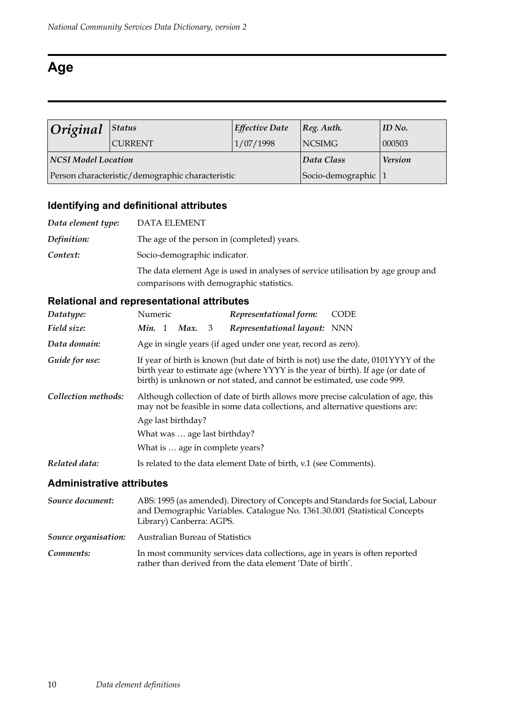## **Age**

| Original                                         | <b>Status</b>  | <b>Effective Date</b> | $ Reg.$ Auth.       | ID No.         |
|--------------------------------------------------|----------------|-----------------------|---------------------|----------------|
|                                                  | <b>CURRENT</b> | 1/07/1998             | NCSIMG              | 000503         |
| NCSI Model Location                              |                |                       | Data Class          | <b>Version</b> |
| Person characteristic/demographic characteristic |                |                       | Socio-demographic 1 |                |

## **Identifying and definitional attributes**

| Data element type: | DATA ELEMENT                                                                                                                 |
|--------------------|------------------------------------------------------------------------------------------------------------------------------|
| Definition:        | The age of the person in (completed) years.                                                                                  |
| Context:           | Socio-demographic indicator.                                                                                                 |
|                    | The data element Age is used in analyses of service utilisation by age group and<br>comparisons with demographic statistics. |

## **Relational and representational attributes**

| Datatype:           | Numeric                         |   | Representational form:                                                                                                                                      | <b>CODE</b>                                                                        |  |
|---------------------|---------------------------------|---|-------------------------------------------------------------------------------------------------------------------------------------------------------------|------------------------------------------------------------------------------------|--|
| Field size:         | Min. 1<br>Max.                  | 3 | Representational layout: NNN                                                                                                                                |                                                                                    |  |
| Data domain:        |                                 |   | Age in single years (if aged under one year, record as zero).                                                                                               |                                                                                    |  |
| Guide for use:      |                                 |   | birth year to estimate age (where YYYY is the year of birth). If age (or date of<br>birth) is unknown or not stated, and cannot be estimated, use code 999. | If year of birth is known (but date of birth is not) use the date, 0101YYYY of the |  |
| Collection methods: |                                 |   | may not be feasible in some data collections, and alternative questions are:                                                                                | Although collection of date of birth allows more precise calculation of age, this  |  |
|                     | Age last birthday?              |   |                                                                                                                                                             |                                                                                    |  |
|                     | What was  age last birthday?    |   |                                                                                                                                                             |                                                                                    |  |
|                     | What is  age in complete years? |   |                                                                                                                                                             |                                                                                    |  |
| Related data:       |                                 |   | Is related to the data element Date of birth, v.1 (see Comments).                                                                                           |                                                                                    |  |

| Source document: | ABS: 1995 (as amended). Directory of Concepts and Standards for Social, Labour<br>and Demographic Variables. Catalogue No. 1361.30.001 (Statistical Concepts<br>Library) Canberra: AGPS. |
|------------------|------------------------------------------------------------------------------------------------------------------------------------------------------------------------------------------|
|                  | <b>Source organisation:</b> Australian Bureau of Statistics                                                                                                                              |
| Comments:        | In most community services data collections, age in years is often reported<br>rather than derived from the data element 'Date of birth'.                                                |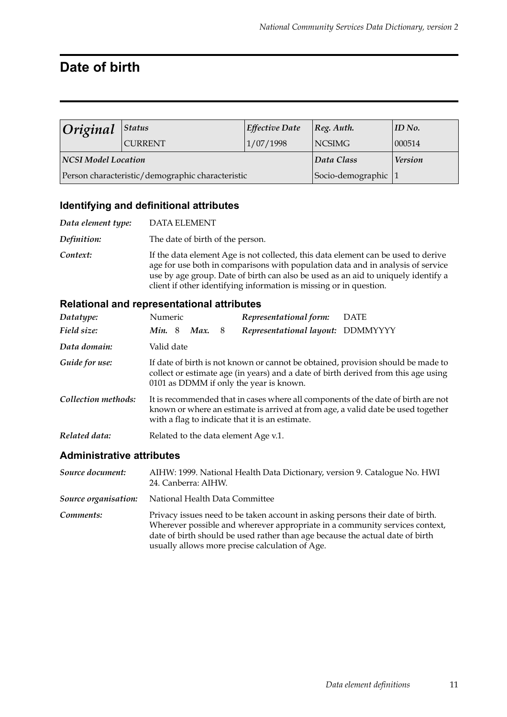## **Date of birth**

| O <sub>riginal</sub> | Status                                           | <b>Effective Date</b>      | $ Reg.$ Auth.  | ID No. |
|----------------------|--------------------------------------------------|----------------------------|----------------|--------|
|                      | <b>CURRENT</b>                                   | 1/07/1998<br><b>NCSIMG</b> |                | 000514 |
| NCSI Model Location  |                                                  | Data Class                 | <b>Version</b> |        |
|                      | Person characteristic/demographic characteristic | Socio-demographic 1        |                |        |

#### **Identifying and definitional attributes**

| Data element type: | <b>DATA ELEMENT</b>                                                                                                                                                                                                                                                                                                             |
|--------------------|---------------------------------------------------------------------------------------------------------------------------------------------------------------------------------------------------------------------------------------------------------------------------------------------------------------------------------|
| Definition:        | The date of birth of the person.                                                                                                                                                                                                                                                                                                |
| Context:           | If the data element Age is not collected, this data element can be used to derive<br>age for use both in comparisons with population data and in analysis of service<br>use by age group. Date of birth can also be used as an aid to uniquely identify a<br>client if other identifying information is missing or in question. |

#### **Relational and representational attributes**

| Datatype:                 | Numeric                                                                                                                                                                                                                  |  |      |     | Representational form:                  | <b>DATE</b>                                                                                                                                                            |
|---------------------------|--------------------------------------------------------------------------------------------------------------------------------------------------------------------------------------------------------------------------|--|------|-----|-----------------------------------------|------------------------------------------------------------------------------------------------------------------------------------------------------------------------|
| Field size:               | Min.8                                                                                                                                                                                                                    |  | Max. | - 8 | Representational layout: DDMMYYYY       |                                                                                                                                                                        |
| Data domain:              | Valid date                                                                                                                                                                                                               |  |      |     |                                         |                                                                                                                                                                        |
| Guide for use:            |                                                                                                                                                                                                                          |  |      |     | 0101 as DDMM if only the year is known. | If date of birth is not known or cannot be obtained, provision should be made to<br>collect or estimate age (in years) and a date of birth derived from this age using |
| Collection methods:       | It is recommended that in cases where all components of the date of birth are not<br>known or where an estimate is arrived at from age, a valid date be used together<br>with a flag to indicate that it is an estimate. |  |      |     |                                         |                                                                                                                                                                        |
| Related data:             |                                                                                                                                                                                                                          |  |      |     | Related to the data element Age v.1.    |                                                                                                                                                                        |
| Adminictrative attributec |                                                                                                                                                                                                                          |  |      |     |                                         |                                                                                                                                                                        |

#### **Administrative attributes**

*Source document:* AIHW: 1999. National Health Data Dictionary, version 9. Catalogue No. HWI 24. Canberra: AIHW. *Source organisation:* National Health Data Committee

**Comments:** Privacy issues need to be taken account in asking persons their date of birth. Wherever possible and wherever appropriate in a community services context, date of birth should be used rather than age because the actual date of birth usually allows more precise calculation of Age.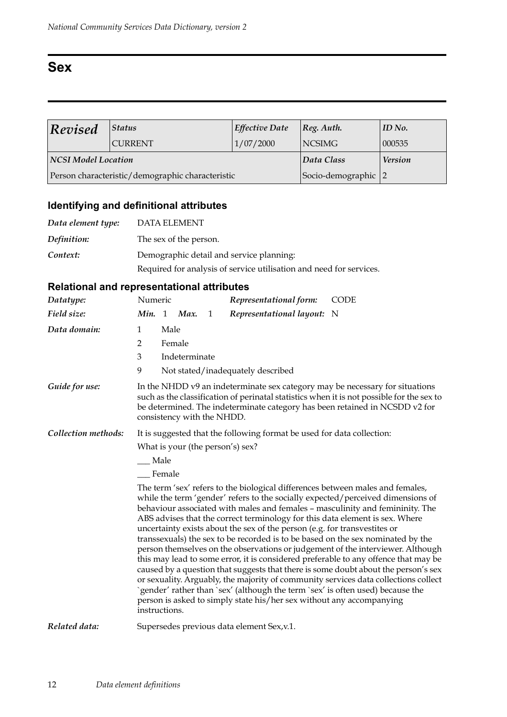## **Sex**

| $\bf$ Revised              | <b>Status</b>                                    | <b>Effective Date</b> | $ Reg.$ Auth.  | $ID$ No. |
|----------------------------|--------------------------------------------------|-----------------------|----------------|----------|
|                            | <b>CURRENT</b>                                   | 1/07/2000             | <b>NCSIMG</b>  | 000535   |
| <b>NCSI Model Location</b> |                                                  | Data Class            | <b>Version</b> |          |
|                            | Person characteristic/demographic characteristic | Socio-demographic 2   |                |          |

## **Identifying and definitional attributes**

| Data element type: | <b>DATA ELEMENT</b>                                                 |
|--------------------|---------------------------------------------------------------------|
| Definition:        | The sex of the person.                                              |
| Context:           | Demographic detail and service planning:                            |
|                    | Required for analysis of service utilisation and need for services. |

| Datatype:           | Numeric          |                |                            |   | Representational form:                                                                                                                                                                                                                                                                                                                                                                                | <b>CODE</b>                                                                                                                                                                                                                                                                                                                                                                                                                                                                                                                                                                                                |
|---------------------|------------------|----------------|----------------------------|---|-------------------------------------------------------------------------------------------------------------------------------------------------------------------------------------------------------------------------------------------------------------------------------------------------------------------------------------------------------------------------------------------------------|------------------------------------------------------------------------------------------------------------------------------------------------------------------------------------------------------------------------------------------------------------------------------------------------------------------------------------------------------------------------------------------------------------------------------------------------------------------------------------------------------------------------------------------------------------------------------------------------------------|
| Field size:         | Min. 1           |                | Max.                       | 1 | Representational layout: N                                                                                                                                                                                                                                                                                                                                                                            |                                                                                                                                                                                                                                                                                                                                                                                                                                                                                                                                                                                                            |
| Data domain:        | 1<br>2<br>3<br>9 | Male<br>Female | Indeterminate              |   | Not stated/inadequately described                                                                                                                                                                                                                                                                                                                                                                     |                                                                                                                                                                                                                                                                                                                                                                                                                                                                                                                                                                                                            |
| Guide for use:      |                  |                | consistency with the NHDD. |   |                                                                                                                                                                                                                                                                                                                                                                                                       | In the NHDD v9 an indeterminate sex category may be necessary for situations<br>such as the classification of perinatal statistics when it is not possible for the sex to<br>be determined. The indeterminate category has been retained in NCSDD v2 for                                                                                                                                                                                                                                                                                                                                                   |
| Collection methods: |                  |                |                            |   | It is suggested that the following format be used for data collection:<br>What is your (the person's) sex?                                                                                                                                                                                                                                                                                            |                                                                                                                                                                                                                                                                                                                                                                                                                                                                                                                                                                                                            |
|                     |                  | Male           |                            |   |                                                                                                                                                                                                                                                                                                                                                                                                       |                                                                                                                                                                                                                                                                                                                                                                                                                                                                                                                                                                                                            |
|                     | Female           |                |                            |   |                                                                                                                                                                                                                                                                                                                                                                                                       |                                                                                                                                                                                                                                                                                                                                                                                                                                                                                                                                                                                                            |
|                     | instructions.    |                |                            |   | The term 'sex' refers to the biological differences between males and females,<br>ABS advises that the correct terminology for this data element is sex. Where<br>uncertainty exists about the sex of the person (e.g. for transvestites or<br>`gender' rather than `sex' (although the term `sex' is often used) because the<br>person is asked to simply state his/her sex without any accompanying | while the term 'gender' refers to the socially expected/perceived dimensions of<br>behaviour associated with males and females - masculinity and femininity. The<br>transsexuals) the sex to be recorded is to be based on the sex nominated by the<br>person themselves on the observations or judgement of the interviewer. Although<br>this may lead to some error, it is considered preferable to any offence that may be<br>caused by a question that suggests that there is some doubt about the person's sex<br>or sexuality. Arguably, the majority of community services data collections collect |
| Related data:       |                  |                |                            |   | Supersedes previous data element Sex, v.1.                                                                                                                                                                                                                                                                                                                                                            |                                                                                                                                                                                                                                                                                                                                                                                                                                                                                                                                                                                                            |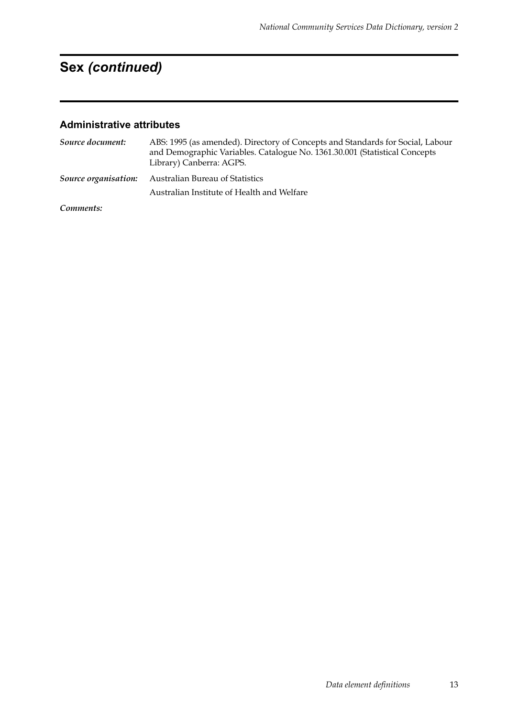*Data element definitions* 13

# **Sex** *(continued)*

| Source document:     | ABS: 1995 (as amended). Directory of Concepts and Standards for Social, Labour<br>and Demographic Variables. Catalogue No. 1361.30.001 (Statistical Concepts<br>Library) Canberra: AGPS. |
|----------------------|------------------------------------------------------------------------------------------------------------------------------------------------------------------------------------------|
| Source organisation: | Australian Bureau of Statistics                                                                                                                                                          |
|                      | Australian Institute of Health and Welfare                                                                                                                                               |
| Comments:            |                                                                                                                                                                                          |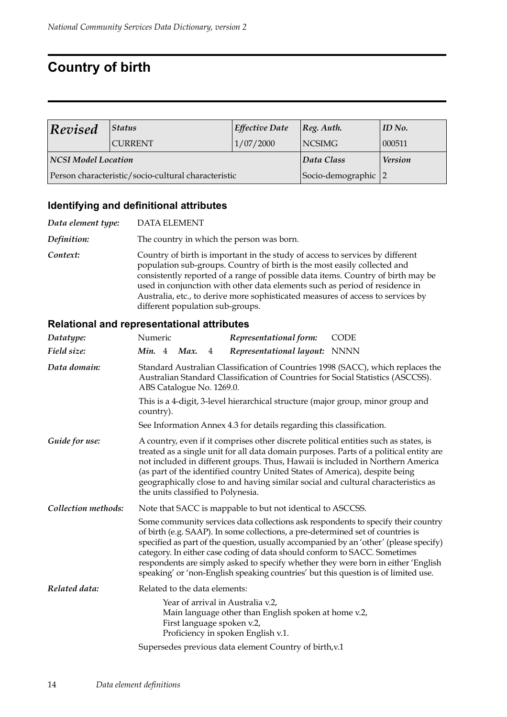## **Country of birth**

| $\bf$ Revised                                       | <b>Status</b>  | <b>Effective Date</b> | $ Reg.$ Auth.  | ID No. |
|-----------------------------------------------------|----------------|-----------------------|----------------|--------|
|                                                     | <b>CURRENT</b> | 1/07/2000             | <b>NCSIMG</b>  | 000511 |
| NCSI Model Location                                 |                | Data Class            | <b>Version</b> |        |
| Person characteristic/socio-cultural characteristic |                | Socio-demographic 2   |                |        |

#### **Identifying and definitional attributes**

*Data element type:* DATA ELEMENT *Definition:* The country in which the person was born. **Context:** Country of birth is important in the study of access to services by different population sub-groups. Country of birth is the most easily collected and consistently reported of a range of possible data items. Country of birth may be used in conjunction with other data elements such as period of residence in Australia, etc., to derive more sophisticated measures of access to services by different population sub-groups.

| Datatype:           | Numeric                            |   | Representational form:                                                                                                                                       | <b>CODE</b>                                                                                                                                                                                                                                                                                                                                           |
|---------------------|------------------------------------|---|--------------------------------------------------------------------------------------------------------------------------------------------------------------|-------------------------------------------------------------------------------------------------------------------------------------------------------------------------------------------------------------------------------------------------------------------------------------------------------------------------------------------------------|
| Field size:         | Min. 4 Max.                        | 4 | Representational layout: NNNN                                                                                                                                |                                                                                                                                                                                                                                                                                                                                                       |
| Data domain:        | ABS Catalogue No. 1269.0.          |   |                                                                                                                                                              | Standard Australian Classification of Countries 1998 (SACC), which replaces the<br>Australian Standard Classification of Countries for Social Statistics (ASCCSS).                                                                                                                                                                                    |
|                     | country).                          |   | This is a 4-digit, 3-level hierarchical structure (major group, minor group and                                                                              |                                                                                                                                                                                                                                                                                                                                                       |
|                     |                                    |   | See Information Annex 4.3 for details regarding this classification.                                                                                         |                                                                                                                                                                                                                                                                                                                                                       |
| Guide for use:      | the units classified to Polynesia. |   | (as part of the identified country United States of America), despite being                                                                                  | A country, even if it comprises other discrete political entities such as states, is<br>treated as a single unit for all data domain purposes. Parts of a political entity are<br>not included in different groups. Thus, Hawaii is included in Northern America<br>geographically close to and having similar social and cultural characteristics as |
| Collection methods: |                                    |   | Note that SACC is mappable to but not identical to ASCCSS.                                                                                                   |                                                                                                                                                                                                                                                                                                                                                       |
|                     |                                    |   | of birth (e.g. SAAP). In some collections, a pre-determined set of countries is<br>category. In either case coding of data should conform to SACC. Sometimes | Some community services data collections ask respondents to specify their country<br>specified as part of the question, usually accompanied by an 'other' (please specify)<br>respondents are simply asked to specify whether they were born in either 'English<br>speaking' or 'non-English speaking countries' but this question is of limited use. |
| Related data:       | Related to the data elements:      |   |                                                                                                                                                              |                                                                                                                                                                                                                                                                                                                                                       |
|                     | First language spoken v.2,         |   | Year of arrival in Australia v.2,<br>Main language other than English spoken at home v.2,<br>Proficiency in spoken English v.1.                              |                                                                                                                                                                                                                                                                                                                                                       |
|                     |                                    |   | Supersedes previous data element Country of birth, v.1                                                                                                       |                                                                                                                                                                                                                                                                                                                                                       |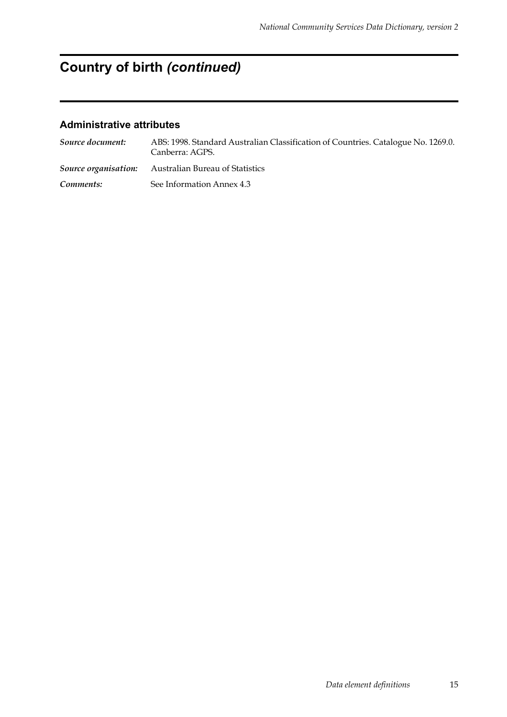# **Country of birth** *(continued)*

| Source document: | ABS: 1998. Standard Australian Classification of Countries. Catalogue No. 1269.0.<br>Canberra: AGPS. |
|------------------|------------------------------------------------------------------------------------------------------|
|                  | <b>Source organisation:</b> Australian Bureau of Statistics                                          |
| Comments:        | See Information Annex 4.3                                                                            |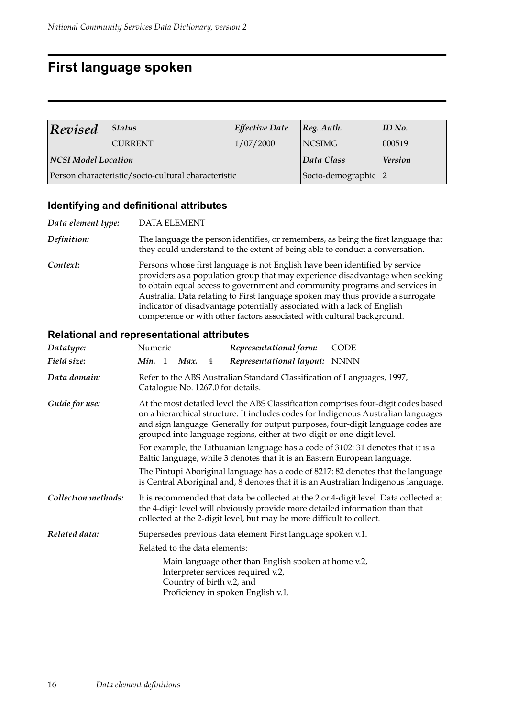## **First language spoken**

| Revised                                             | Status         | <b>Effective Date</b> | $ Reg.$ Auth.       | ID No. |
|-----------------------------------------------------|----------------|-----------------------|---------------------|--------|
|                                                     | <b>CURRENT</b> | 1/07/2000             | <b>NCSIMG</b>       | 000519 |
| <b>NCSI Model Location</b>                          |                | Data Class            | <b>Version</b>      |        |
| Person characteristic/socio-cultural characteristic |                |                       | Socio-demographic 2 |        |

## **Identifying and definitional attributes**

| Data element type: | <b>DATA ELEMENT</b>                                                                                                                                                                                                                                                                                                                                                                                                                                                               |
|--------------------|-----------------------------------------------------------------------------------------------------------------------------------------------------------------------------------------------------------------------------------------------------------------------------------------------------------------------------------------------------------------------------------------------------------------------------------------------------------------------------------|
| Definition:        | The language the person identifies, or remembers, as being the first language that<br>they could understand to the extent of being able to conduct a conversation.                                                                                                                                                                                                                                                                                                                |
| Context:           | Persons whose first language is not English have been identified by service<br>providers as a population group that may experience disadvantage when seeking<br>to obtain equal access to government and community programs and services in<br>Australia. Data relating to First language spoken may thus provide a surrogate<br>indicator of disadvantage potentially associated with a lack of English<br>competence or with other factors associated with cultural background. |

| Datatype:           | Numeric                                                                                               | Representational form:                                                                                                                                | <b>CODE</b>                                                                                                                                                                                                                                                 |
|---------------------|-------------------------------------------------------------------------------------------------------|-------------------------------------------------------------------------------------------------------------------------------------------------------|-------------------------------------------------------------------------------------------------------------------------------------------------------------------------------------------------------------------------------------------------------------|
| Field size:         | Min. 1 Max.<br>4                                                                                      | Representational layout: NNNN                                                                                                                         |                                                                                                                                                                                                                                                             |
| Data domain:        | Catalogue No. 1267.0 for details.                                                                     | Refer to the ABS Australian Standard Classification of Languages, 1997,                                                                               |                                                                                                                                                                                                                                                             |
| Guide for use:      |                                                                                                       | grouped into language regions, either at two-digit or one-digit level.                                                                                | At the most detailed level the ABS Classification comprises four-digit codes based<br>on a hierarchical structure. It includes codes for Indigenous Australian languages<br>and sign language. Generally for output purposes, four-digit language codes are |
|                     |                                                                                                       | Baltic language, while 3 denotes that it is an Eastern European language.                                                                             | For example, the Lithuanian language has a code of 3102: 31 denotes that it is a                                                                                                                                                                            |
|                     |                                                                                                       |                                                                                                                                                       | The Pintupi Aboriginal language has a code of 8217: 82 denotes that the language<br>is Central Aboriginal and, 8 denotes that it is an Australian Indigenous language.                                                                                      |
| Collection methods: |                                                                                                       | the 4-digit level will obviously provide more detailed information than that<br>collected at the 2-digit level, but may be more difficult to collect. | It is recommended that data be collected at the 2 or 4-digit level. Data collected at                                                                                                                                                                       |
| Related data:       |                                                                                                       | Supersedes previous data element First language spoken v.1.                                                                                           |                                                                                                                                                                                                                                                             |
|                     | Related to the data elements:                                                                         |                                                                                                                                                       |                                                                                                                                                                                                                                                             |
|                     | Interpreter services required v.2,<br>Country of birth v.2, and<br>Proficiency in spoken English v.1. | Main language other than English spoken at home v.2,                                                                                                  |                                                                                                                                                                                                                                                             |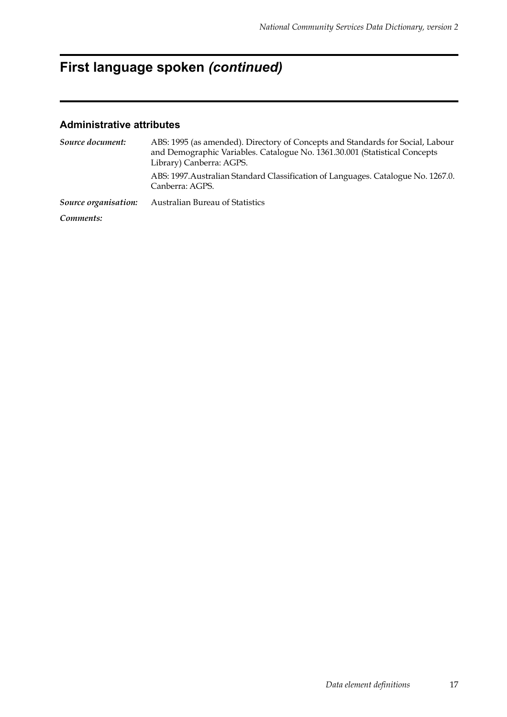*Data element definitions* 17

## **First language spoken** *(continued)*

| Source document:     | ABS: 1995 (as amended). Directory of Concepts and Standards for Social, Labour<br>and Demographic Variables. Catalogue No. 1361.30.001 (Statistical Concepts<br>Library) Canberra: AGPS. |
|----------------------|------------------------------------------------------------------------------------------------------------------------------------------------------------------------------------------|
|                      | ABS: 1997. Australian Standard Classification of Languages. Catalogue No. 1267.0.<br>Canberra: AGPS.                                                                                     |
| Source organisation: | <b>Australian Bureau of Statistics</b>                                                                                                                                                   |
| Comments:            |                                                                                                                                                                                          |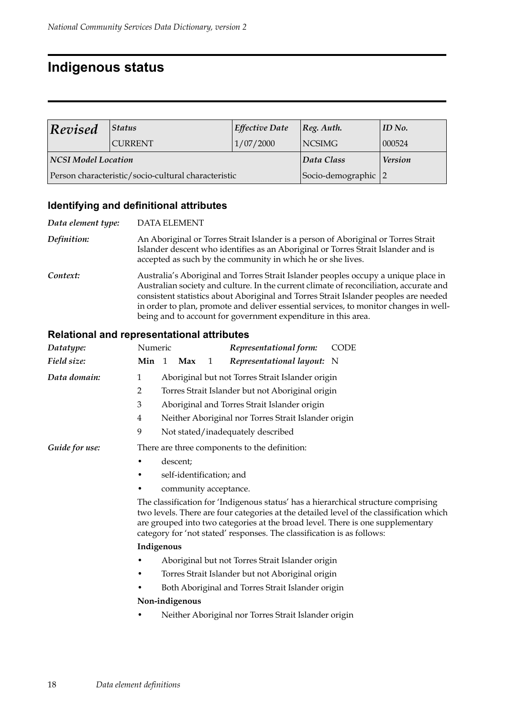## **Indigenous status**

| Revised                                             | Status         | <b>Effective Date</b> | [Reg. Author.       | ID No. |
|-----------------------------------------------------|----------------|-----------------------|---------------------|--------|
|                                                     | <b>CURRENT</b> | 1/07/2000             | <b>NCSIMG</b>       | 000524 |
| NCSI Model Location                                 |                | Data Class            | <b>Version</b>      |        |
| Person characteristic/socio-cultural characteristic |                |                       | Socio-demographic 2 |        |

## **Identifying and definitional attributes**

| Data element type: | <b>DATA ELEMENT</b>                                                                                                                                                                                                                                                                                                                                                                                                            |
|--------------------|--------------------------------------------------------------------------------------------------------------------------------------------------------------------------------------------------------------------------------------------------------------------------------------------------------------------------------------------------------------------------------------------------------------------------------|
| Definition:        | An Aboriginal or Torres Strait Islander is a person of Aboriginal or Torres Strait<br>Islander descent who identifies as an Aboriginal or Torres Strait Islander and is<br>accepted as such by the community in which he or she lives.                                                                                                                                                                                         |
| Context:           | Australia's Aboriginal and Torres Strait Islander peoples occupy a unique place in<br>Australian society and culture. In the current climate of reconciliation, accurate and<br>consistent statistics about Aboriginal and Torres Strait Islander peoples are needed<br>in order to plan, promote and deliver essential services, to monitor changes in well-<br>being and to account for government expenditure in this area. |

| Datatype:      | Numeric<br>Representational form:<br><b>CODE</b>                                                                                                                                                                                                                                                                                          |
|----------------|-------------------------------------------------------------------------------------------------------------------------------------------------------------------------------------------------------------------------------------------------------------------------------------------------------------------------------------------|
| Field size:    | Min<br>Representational layout: N<br>$\overline{1}$<br>Max<br>1                                                                                                                                                                                                                                                                           |
| Data domain:   | Aboriginal but not Torres Strait Islander origin<br>1                                                                                                                                                                                                                                                                                     |
|                | Torres Strait Islander but not Aboriginal origin<br>2                                                                                                                                                                                                                                                                                     |
|                | $\mathfrak{Z}$<br>Aboriginal and Torres Strait Islander origin                                                                                                                                                                                                                                                                            |
|                | Neither Aboriginal nor Torres Strait Islander origin<br>4                                                                                                                                                                                                                                                                                 |
|                | 9<br>Not stated/inadequately described                                                                                                                                                                                                                                                                                                    |
| Guide for use: | There are three components to the definition:                                                                                                                                                                                                                                                                                             |
|                | descent;                                                                                                                                                                                                                                                                                                                                  |
|                | self-identification; and                                                                                                                                                                                                                                                                                                                  |
|                | community acceptance.                                                                                                                                                                                                                                                                                                                     |
|                | The classification for 'Indigenous status' has a hierarchical structure comprising<br>two levels. There are four categories at the detailed level of the classification which<br>are grouped into two categories at the broad level. There is one supplementary<br>category for 'not stated' responses. The classification is as follows: |
|                | Indigenous                                                                                                                                                                                                                                                                                                                                |
|                | Aboriginal but not Torres Strait Islander origin                                                                                                                                                                                                                                                                                          |
|                | Torres Strait Islander but not Aboriginal origin                                                                                                                                                                                                                                                                                          |
|                | Both Aboriginal and Torres Strait Islander origin                                                                                                                                                                                                                                                                                         |
|                | Non-indigenous                                                                                                                                                                                                                                                                                                                            |
|                | Neither Aboriginal nor Torres Strait Islander origin                                                                                                                                                                                                                                                                                      |
|                |                                                                                                                                                                                                                                                                                                                                           |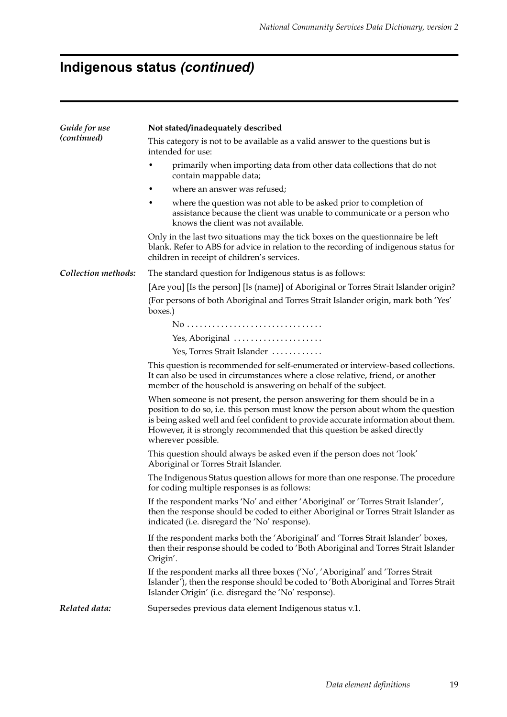# **Indigenous status** *(continued)*

| Guide for use       | Not stated/inadequately described                                                                                                                                                                                                                                                                                                                     |
|---------------------|-------------------------------------------------------------------------------------------------------------------------------------------------------------------------------------------------------------------------------------------------------------------------------------------------------------------------------------------------------|
| (continued)         | This category is not to be available as a valid answer to the questions but is<br>intended for use:                                                                                                                                                                                                                                                   |
|                     | primarily when importing data from other data collections that do not<br>contain mappable data;                                                                                                                                                                                                                                                       |
|                     | where an answer was refused;<br>$\bullet$                                                                                                                                                                                                                                                                                                             |
|                     | where the question was not able to be asked prior to completion of<br>٠<br>assistance because the client was unable to communicate or a person who<br>knows the client was not available.                                                                                                                                                             |
|                     | Only in the last two situations may the tick boxes on the questionnaire be left<br>blank. Refer to ABS for advice in relation to the recording of indigenous status for<br>children in receipt of children's services.                                                                                                                                |
| Collection methods: | The standard question for Indigenous status is as follows:                                                                                                                                                                                                                                                                                            |
|                     | [Are you] [Is the person] [Is (name)] of Aboriginal or Torres Strait Islander origin?                                                                                                                                                                                                                                                                 |
|                     | (For persons of both Aboriginal and Torres Strait Islander origin, mark both 'Yes'<br>boxes.)                                                                                                                                                                                                                                                         |
|                     |                                                                                                                                                                                                                                                                                                                                                       |
|                     | Yes, Aboriginal                                                                                                                                                                                                                                                                                                                                       |
|                     | Yes, Torres Strait Islander                                                                                                                                                                                                                                                                                                                           |
|                     | This question is recommended for self-enumerated or interview-based collections.<br>It can also be used in circumstances where a close relative, friend, or another<br>member of the household is answering on behalf of the subject.                                                                                                                 |
|                     | When someone is not present, the person answering for them should be in a<br>position to do so, i.e. this person must know the person about whom the question<br>is being asked well and feel confident to provide accurate information about them.<br>However, it is strongly recommended that this question be asked directly<br>wherever possible. |
|                     | This question should always be asked even if the person does not 'look'<br>Aboriginal or Torres Strait Islander.                                                                                                                                                                                                                                      |
|                     | The Indigenous Status question allows for more than one response. The procedure<br>for coding multiple responses is as follows:                                                                                                                                                                                                                       |
|                     | If the respondent marks 'No' and either 'Aboriginal' or 'Torres Strait Islander',<br>then the response should be coded to either Aboriginal or Torres Strait Islander as<br>indicated (i.e. disregard the 'No' response).                                                                                                                             |
|                     | If the respondent marks both the 'Aboriginal' and 'Torres Strait Islander' boxes,<br>then their response should be coded to 'Both Aboriginal and Torres Strait Islander<br>Origin'.                                                                                                                                                                   |
|                     | If the respondent marks all three boxes ('No', 'Aboriginal' and 'Torres Strait<br>Islander'), then the response should be coded to 'Both Aboriginal and Torres Strait<br>Islander Origin' (i.e. disregard the 'No' response).                                                                                                                         |
| Related data:       | Supersedes previous data element Indigenous status v.1.                                                                                                                                                                                                                                                                                               |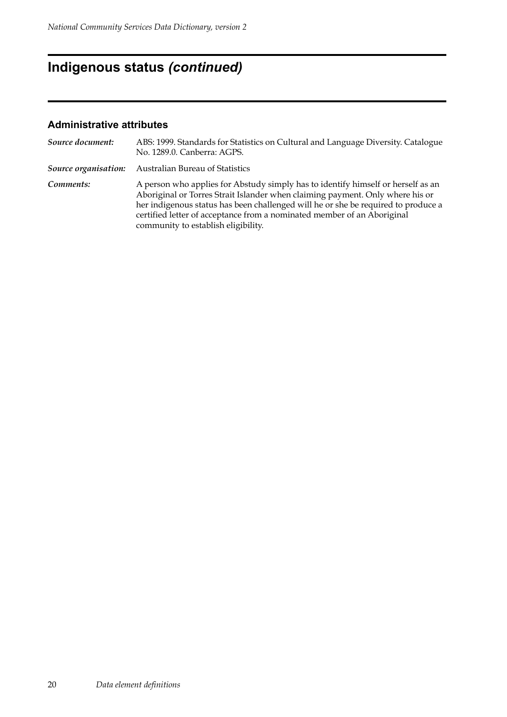## **Indigenous status** *(continued)*

| Source document:     | ABS: 1999. Standards for Statistics on Cultural and Language Diversity. Catalogue<br>No. 1289.0. Canberra: AGPS.                                                                                                                                                                                                                                                         |
|----------------------|--------------------------------------------------------------------------------------------------------------------------------------------------------------------------------------------------------------------------------------------------------------------------------------------------------------------------------------------------------------------------|
| Source organisation: | Australian Bureau of Statistics                                                                                                                                                                                                                                                                                                                                          |
| Comments:            | A person who applies for Abstudy simply has to identify himself or herself as an<br>Aboriginal or Torres Strait Islander when claiming payment. Only where his or<br>her indigenous status has been challenged will he or she be required to produce a<br>certified letter of acceptance from a nominated member of an Aboriginal<br>community to establish eligibility. |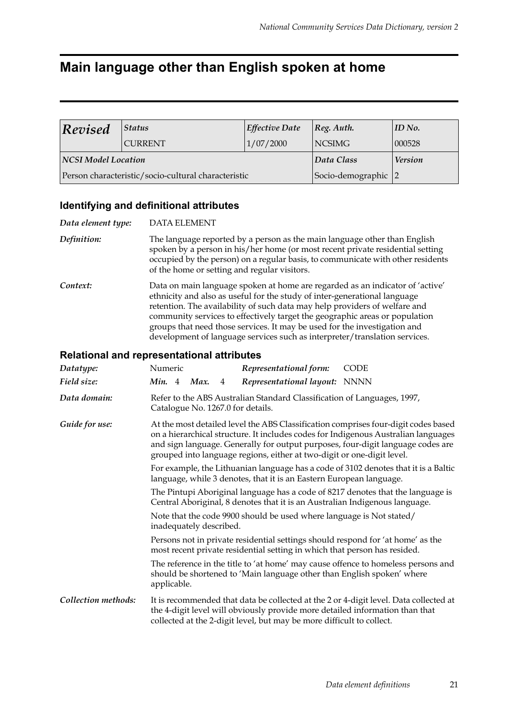## **Main language other than English spoken at home**

| Revised<br><b>Status</b>   |                                                     | <b>Effective Date</b> | Reg. Author.   | ID No. |
|----------------------------|-----------------------------------------------------|-----------------------|----------------|--------|
|                            | 1/07/2000<br><b>CURRENT</b>                         |                       | <b>NCSIMG</b>  | 000528 |
| <b>NCSI Model Location</b> |                                                     | Data Class            | <b>Version</b> |        |
|                            | Person characteristic/socio-cultural characteristic | Socio-demographic 2   |                |        |

### **Identifying and definitional attributes**

| Data element type: | <b>DATA ELEMENT</b>                                                                                                                                                                                                                                                                                                                                                                                                                                                                |
|--------------------|------------------------------------------------------------------------------------------------------------------------------------------------------------------------------------------------------------------------------------------------------------------------------------------------------------------------------------------------------------------------------------------------------------------------------------------------------------------------------------|
| Definition:        | The language reported by a person as the main language other than English<br>spoken by a person in his/her home (or most recent private residential setting<br>occupied by the person) on a regular basis, to communicate with other residents<br>of the home or setting and regular visitors.                                                                                                                                                                                     |
| Context:           | Data on main language spoken at home are regarded as an indicator of 'active'<br>ethnicity and also as useful for the study of inter-generational language<br>retention. The availability of such data may help providers of welfare and<br>community services to effectively target the geographic areas or population<br>groups that need those services. It may be used for the investigation and<br>development of language services such as interpreter/translation services. |

| Datatype:                                                                                                                                                    | Numeric                                                                                                                                                                                                                                                                                                                               |                                                                                                                                                                                                                                                                                                                                                                                                                                 |  | Representational form:                                                                                                                                | <b>CODE</b>                                                                           |  |
|--------------------------------------------------------------------------------------------------------------------------------------------------------------|---------------------------------------------------------------------------------------------------------------------------------------------------------------------------------------------------------------------------------------------------------------------------------------------------------------------------------------|---------------------------------------------------------------------------------------------------------------------------------------------------------------------------------------------------------------------------------------------------------------------------------------------------------------------------------------------------------------------------------------------------------------------------------|--|-------------------------------------------------------------------------------------------------------------------------------------------------------|---------------------------------------------------------------------------------------|--|
| Field size:                                                                                                                                                  | Min. 4                                                                                                                                                                                                                                                                                                                                | Max.<br>4                                                                                                                                                                                                                                                                                                                                                                                                                       |  | Representational layout: NNNN                                                                                                                         |                                                                                       |  |
| Data domain:                                                                                                                                                 | Refer to the ABS Australian Standard Classification of Languages, 1997,<br>Catalogue No. 1267.0 for details.                                                                                                                                                                                                                          |                                                                                                                                                                                                                                                                                                                                                                                                                                 |  |                                                                                                                                                       |                                                                                       |  |
| Guide for use:                                                                                                                                               | At the most detailed level the ABS Classification comprises four-digit codes based<br>on a hierarchical structure. It includes codes for Indigenous Australian languages<br>and sign language. Generally for output purposes, four-digit language codes are<br>grouped into language regions, either at two-digit or one-digit level. |                                                                                                                                                                                                                                                                                                                                                                                                                                 |  |                                                                                                                                                       |                                                                                       |  |
|                                                                                                                                                              |                                                                                                                                                                                                                                                                                                                                       | For example, the Lithuanian language has a code of 3102 denotes that it is a Baltic<br>language, while 3 denotes, that it is an Eastern European language.<br>The Pintupi Aboriginal language has a code of 8217 denotes that the language is<br>Central Aboriginal, 8 denotes that it is an Australian Indigenous language.<br>Note that the code 9900 should be used where language is Not stated/<br>inadequately described. |  |                                                                                                                                                       |                                                                                       |  |
|                                                                                                                                                              |                                                                                                                                                                                                                                                                                                                                       |                                                                                                                                                                                                                                                                                                                                                                                                                                 |  |                                                                                                                                                       |                                                                                       |  |
|                                                                                                                                                              |                                                                                                                                                                                                                                                                                                                                       |                                                                                                                                                                                                                                                                                                                                                                                                                                 |  |                                                                                                                                                       |                                                                                       |  |
| Persons not in private residential settings should respond for 'at home' as the<br>most recent private residential setting in which that person has resided. |                                                                                                                                                                                                                                                                                                                                       |                                                                                                                                                                                                                                                                                                                                                                                                                                 |  |                                                                                                                                                       |                                                                                       |  |
|                                                                                                                                                              | applicable.                                                                                                                                                                                                                                                                                                                           |                                                                                                                                                                                                                                                                                                                                                                                                                                 |  | should be shortened to 'Main language other than English spoken' where                                                                                | The reference in the title to 'at home' may cause offence to homeless persons and     |  |
| Collection methods:                                                                                                                                          |                                                                                                                                                                                                                                                                                                                                       |                                                                                                                                                                                                                                                                                                                                                                                                                                 |  | the 4-digit level will obviously provide more detailed information than that<br>collected at the 2-digit level, but may be more difficult to collect. | It is recommended that data be collected at the 2 or 4-digit level. Data collected at |  |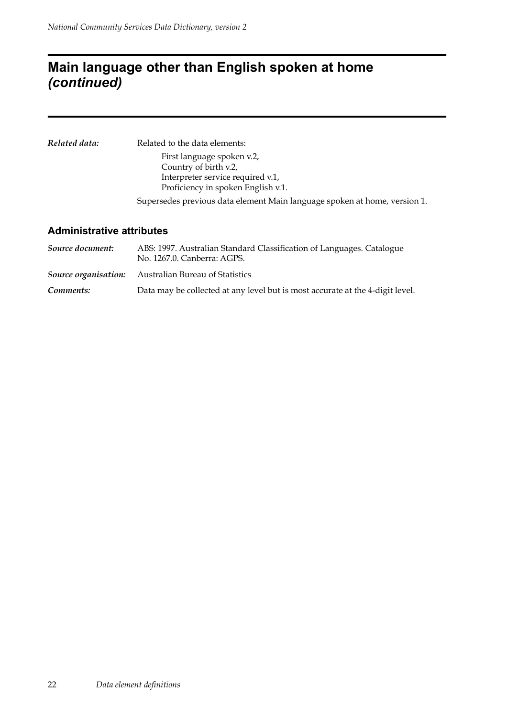## **Main language other than English spoken at home**  *(continued)*

| Related data: | Related to the data elements:                                             |
|---------------|---------------------------------------------------------------------------|
|               | First language spoken v.2,                                                |
|               | Country of birth v.2,                                                     |
|               | Interpreter service required v.1,                                         |
|               | Proficiency in spoken English v.1.                                        |
|               | Supersedes previous data element Main language spoken at home, version 1. |
|               |                                                                           |

| Source document: | ABS: 1997. Australian Standard Classification of Languages. Catalogue<br>No. 1267.0. Canberra: AGPS. |  |  |  |  |
|------------------|------------------------------------------------------------------------------------------------------|--|--|--|--|
|                  | <b>Source organisation:</b> Australian Bureau of Statistics                                          |  |  |  |  |
| Comments:        | Data may be collected at any level but is most accurate at the 4-digit level.                        |  |  |  |  |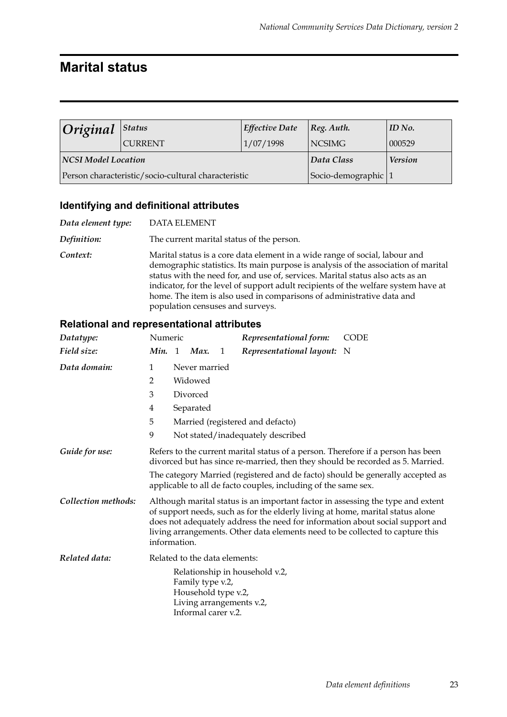## **Marital status**

|                     | $ Original $ <sup>Status</sup><br><b>Effective Date</b> |                     | [Reg. Author.  | ID No. |
|---------------------|---------------------------------------------------------|---------------------|----------------|--------|
|                     | <b>CURRENT</b>                                          | 1/07/1998           | <b>NCSIMG</b>  | 000529 |
| NCSI Model Location |                                                         | Data Class          | <b>Version</b> |        |
|                     | Person characteristic/socio-cultural characteristic     | Socio-demographic 1 |                |        |

### **Identifying and definitional attributes**

| Data element type: | <b>DATA ELEMENT</b>                                                                                                                                                                                                                                                                                                                                                                                                                                    |
|--------------------|--------------------------------------------------------------------------------------------------------------------------------------------------------------------------------------------------------------------------------------------------------------------------------------------------------------------------------------------------------------------------------------------------------------------------------------------------------|
| Definition:        | The current marital status of the person.                                                                                                                                                                                                                                                                                                                                                                                                              |
| Context:           | Marital status is a core data element in a wide range of social, labour and<br>demographic statistics. Its main purpose is analysis of the association of marital<br>status with the need for, and use of, services. Marital status also acts as an<br>indicator, for the level of support adult recipients of the welfare system have at<br>home. The item is also used in comparisons of administrative data and<br>population censuses and surveys. |

| Datatype:           | Numeric                                                                                                                                                            |                |                               |   | Representational form:                                                                                                                                                                                                                             | <b>CODE</b>                                                                   |  |
|---------------------|--------------------------------------------------------------------------------------------------------------------------------------------------------------------|----------------|-------------------------------|---|----------------------------------------------------------------------------------------------------------------------------------------------------------------------------------------------------------------------------------------------------|-------------------------------------------------------------------------------|--|
| Field size:         | Min.                                                                                                                                                               | $\overline{1}$ | Max.                          | 1 | Representational layout: N                                                                                                                                                                                                                         |                                                                               |  |
| Data domain:        | 1                                                                                                                                                                  |                | Never married                 |   |                                                                                                                                                                                                                                                    |                                                                               |  |
|                     | 2                                                                                                                                                                  |                | Widowed                       |   |                                                                                                                                                                                                                                                    |                                                                               |  |
|                     | 3                                                                                                                                                                  |                | Divorced                      |   |                                                                                                                                                                                                                                                    |                                                                               |  |
|                     | 4                                                                                                                                                                  |                | Separated                     |   |                                                                                                                                                                                                                                                    |                                                                               |  |
|                     | 5                                                                                                                                                                  |                |                               |   | Married (registered and defacto)                                                                                                                                                                                                                   |                                                                               |  |
|                     | 9                                                                                                                                                                  |                |                               |   | Not stated/inadequately described                                                                                                                                                                                                                  |                                                                               |  |
| Guide for use:      | Refers to the current marital status of a person. Therefore if a person has been<br>divorced but has since re-married, then they should be recorded as 5. Married. |                |                               |   |                                                                                                                                                                                                                                                    |                                                                               |  |
|                     | The category Married (registered and de facto) should be generally accepted as<br>applicable to all de facto couples, including of the same sex.                   |                |                               |   |                                                                                                                                                                                                                                                    |                                                                               |  |
| Collection methods: | information.                                                                                                                                                       |                |                               |   | Although marital status is an important factor in assessing the type and extent<br>of support needs, such as for the elderly living at home, marital status alone<br>living arrangements. Other data elements need to be collected to capture this | does not adequately address the need for information about social support and |  |
| Related data:       |                                                                                                                                                                    |                | Related to the data elements: |   |                                                                                                                                                                                                                                                    |                                                                               |  |
|                     | Relationship in household v.2,<br>Family type v.2,<br>Household type v.2,<br>Living arrangements v.2,<br>Informal carer v.2.                                       |                |                               |   |                                                                                                                                                                                                                                                    |                                                                               |  |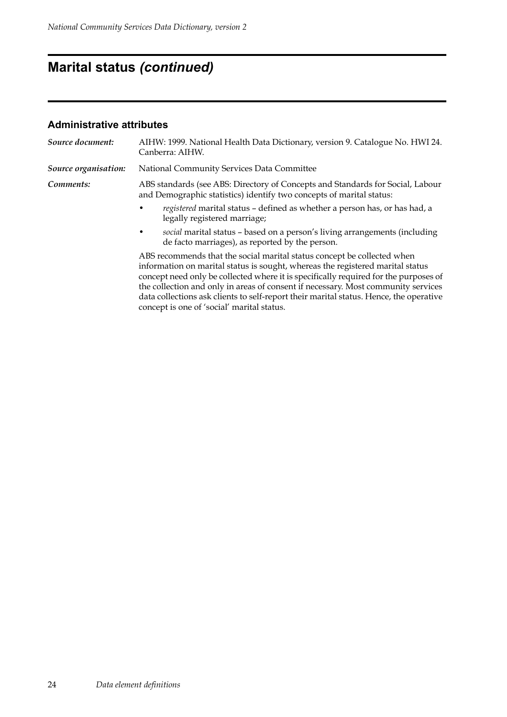## **Marital status** *(continued)*

| Source document:     | AIHW: 1999. National Health Data Dictionary, version 9. Catalogue No. HWI 24.<br>Canberra: AIHW.                                                                                                                                                                                                                                                                                                                                                                               |  |  |  |  |  |
|----------------------|--------------------------------------------------------------------------------------------------------------------------------------------------------------------------------------------------------------------------------------------------------------------------------------------------------------------------------------------------------------------------------------------------------------------------------------------------------------------------------|--|--|--|--|--|
| Source organisation: | National Community Services Data Committee                                                                                                                                                                                                                                                                                                                                                                                                                                     |  |  |  |  |  |
| Comments:            | ABS standards (see ABS: Directory of Concepts and Standards for Social, Labour<br>and Demographic statistics) identify two concepts of marital status:                                                                                                                                                                                                                                                                                                                         |  |  |  |  |  |
|                      | registered marital status – defined as whether a person has, or has had, a<br>legally registered marriage;                                                                                                                                                                                                                                                                                                                                                                     |  |  |  |  |  |
|                      | social marital status - based on a person's living arrangements (including<br>٠<br>de facto marriages), as reported by the person.                                                                                                                                                                                                                                                                                                                                             |  |  |  |  |  |
|                      | ABS recommends that the social marital status concept be collected when<br>information on marital status is sought, whereas the registered marital status<br>concept need only be collected where it is specifically required for the purposes of<br>the collection and only in areas of consent if necessary. Most community services<br>data collections ask clients to self-report their marital status. Hence, the operative<br>concept is one of 'social' marital status. |  |  |  |  |  |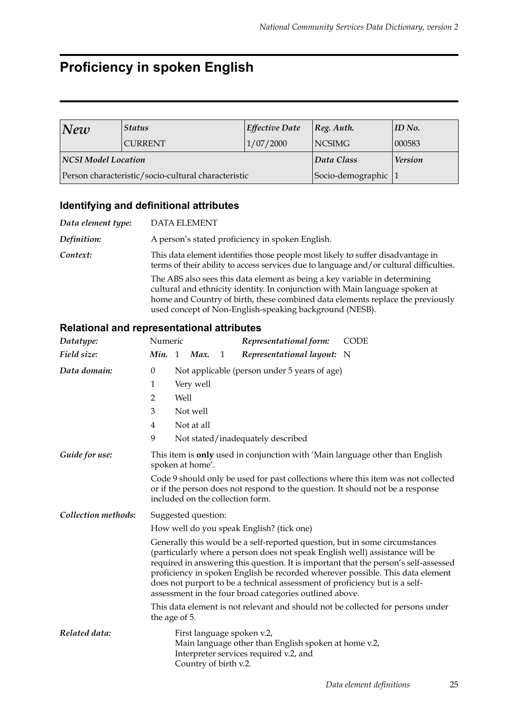## **Proficiency in spoken English**

| <b>Status</b><br> New      |                                                     | <b>Effective Date</b> | $ Reg.$ Auth.  | $ID$ No. |
|----------------------------|-----------------------------------------------------|-----------------------|----------------|----------|
|                            | <b>CURRENT</b>                                      | 1/07/2000             | <b>NCSIMG</b>  | 000583   |
| <b>NCSI Model Location</b> |                                                     | Data Class            | <b>Version</b> |          |
|                            | Person characteristic/socio-cultural characteristic | Socio-demographic     |                |          |

### **Identifying and definitional attributes**

| Data element type: | <b>DATA ELEMENT</b>                                                                                                                                                                                                                                                                                     |
|--------------------|---------------------------------------------------------------------------------------------------------------------------------------------------------------------------------------------------------------------------------------------------------------------------------------------------------|
| Definition:        | A person's stated proficiency in spoken English.                                                                                                                                                                                                                                                        |
| Context:           | This data element identifies those people most likely to suffer disadvantage in<br>terms of their ability to access services due to language and/or cultural difficulties.                                                                                                                              |
|                    | The ABS also sees this data element as being a key variable in determining<br>cultural and ethnicity identity. In conjunction with Main language spoken at<br>home and Country of birth, these combined data elements replace the previously<br>used concept of Non-English-speaking background (NESB). |

| Datatype:           | Numeric                                                                                                                                                                                                                                                                                                                                                                                                                                                                         |  |                       |   | Representational form:                                                                                                       | <b>CODE</b> |  |  |
|---------------------|---------------------------------------------------------------------------------------------------------------------------------------------------------------------------------------------------------------------------------------------------------------------------------------------------------------------------------------------------------------------------------------------------------------------------------------------------------------------------------|--|-----------------------|---|------------------------------------------------------------------------------------------------------------------------------|-------------|--|--|
| Field size:         | Min. 1                                                                                                                                                                                                                                                                                                                                                                                                                                                                          |  | Max.                  | 1 | Representational layout: N                                                                                                   |             |  |  |
| Data domain:        | $\boldsymbol{0}$<br>Not applicable (person under 5 years of age)                                                                                                                                                                                                                                                                                                                                                                                                                |  |                       |   |                                                                                                                              |             |  |  |
|                     | Very well<br>1                                                                                                                                                                                                                                                                                                                                                                                                                                                                  |  |                       |   |                                                                                                                              |             |  |  |
|                     | $\overline{2}$<br>Well                                                                                                                                                                                                                                                                                                                                                                                                                                                          |  |                       |   |                                                                                                                              |             |  |  |
|                     | 3                                                                                                                                                                                                                                                                                                                                                                                                                                                                               |  | Not well              |   |                                                                                                                              |             |  |  |
|                     | 4                                                                                                                                                                                                                                                                                                                                                                                                                                                                               |  | Not at all            |   |                                                                                                                              |             |  |  |
|                     | 9                                                                                                                                                                                                                                                                                                                                                                                                                                                                               |  |                       |   | Not stated/inadequately described                                                                                            |             |  |  |
| Guide for use:      | This item is <b>only</b> used in conjunction with 'Main language other than English<br>spoken at home'.                                                                                                                                                                                                                                                                                                                                                                         |  |                       |   |                                                                                                                              |             |  |  |
|                     | Code 9 should only be used for past collections where this item was not collected<br>or if the person does not respond to the question. It should not be a response<br>included on the collection form.                                                                                                                                                                                                                                                                         |  |                       |   |                                                                                                                              |             |  |  |
| Collection methods: | Suggested question:                                                                                                                                                                                                                                                                                                                                                                                                                                                             |  |                       |   |                                                                                                                              |             |  |  |
|                     | How well do you speak English? (tick one)                                                                                                                                                                                                                                                                                                                                                                                                                                       |  |                       |   |                                                                                                                              |             |  |  |
|                     | Generally this would be a self-reported question, but in some circumstances<br>(particularly where a person does not speak English well) assistance will be<br>required in answering this question. It is important that the person's self-assessed<br>proficiency in spoken English be recorded wherever possible. This data element<br>does not purport to be a technical assessment of proficiency but is a self-<br>assessment in the four broad categories outlined above. |  |                       |   |                                                                                                                              |             |  |  |
|                     | This data element is not relevant and should not be collected for persons under<br>the age of 5.                                                                                                                                                                                                                                                                                                                                                                                |  |                       |   |                                                                                                                              |             |  |  |
| Related data:       |                                                                                                                                                                                                                                                                                                                                                                                                                                                                                 |  | Country of birth v.2. |   | First language spoken v.2,<br>Main language other than English spoken at home v.2,<br>Interpreter services required v.2, and |             |  |  |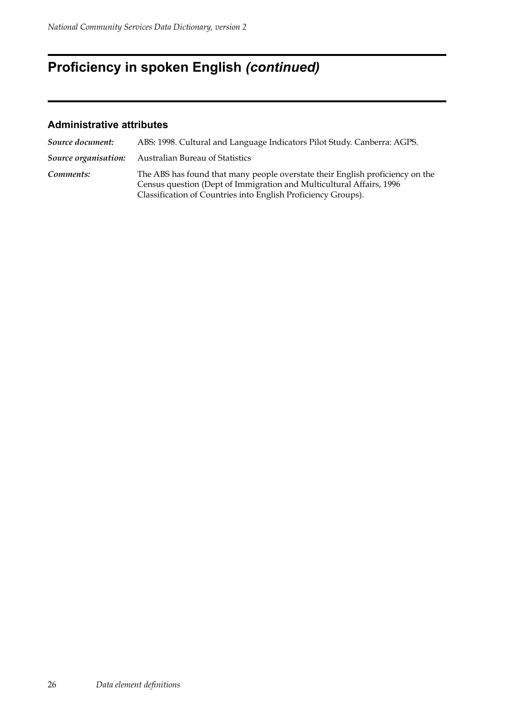## **Proficiency in spoken English** *(continued)*

| Source document: | ABS: 1998. Cultural and Language Indicators Pilot Study. Canberra: AGPS.                                                                                                                                                |
|------------------|-------------------------------------------------------------------------------------------------------------------------------------------------------------------------------------------------------------------------|
|                  | Source organisation: Australian Bureau of Statistics                                                                                                                                                                    |
| Comments:        | The ABS has found that many people overstate their English proficiency on the<br>Census question (Dept of Immigration and Multicultural Affairs, 1996)<br>Classification of Countries into English Proficiency Groups). |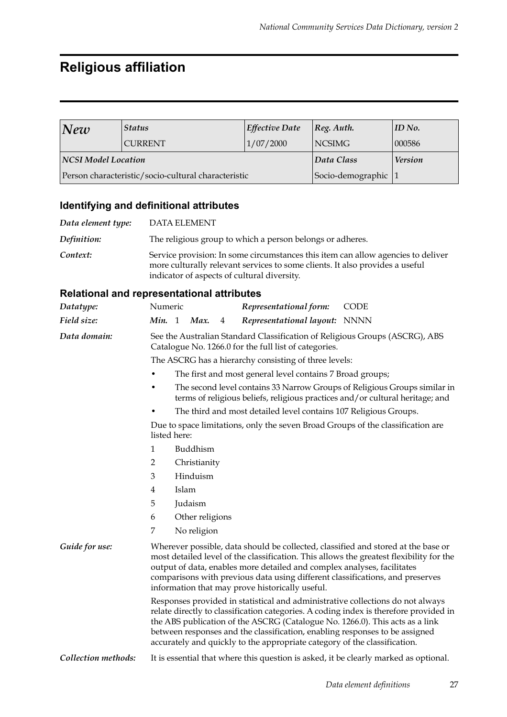## **Religious affiliation**

| New                        | <b>Status</b>                                       | <b>Effective Date</b> | [Reg. Author.  | $ID$ No. |
|----------------------------|-----------------------------------------------------|-----------------------|----------------|----------|
|                            | <b>CURRENT</b>                                      | 1/07/2000             | <b>NCSIMG</b>  | 000586   |
| <b>NCSI Model Location</b> |                                                     | Data Class            | <b>Version</b> |          |
|                            | Person characteristic/socio-cultural characteristic | Socio-demographic     |                |          |

## **Identifying and definitional attributes**

| Data element type: | DATA ELEMENT                                                                                                                                                                                                    |
|--------------------|-----------------------------------------------------------------------------------------------------------------------------------------------------------------------------------------------------------------|
| Definition:        | The religious group to which a person belongs or adheres.                                                                                                                                                       |
| Context:           | Service provision: In some circumstances this item can allow agencies to deliver<br>more culturally relevant services to some clients. It also provides a useful<br>indicator of aspects of cultural diversity. |

| Datatype:                                                                                                                                                                                                                                                                                                                                                                                                           | Numeric                                                                                                                                                                                                                                                                                                                                                                                     |          |             |   | Representational form:                                           | <b>CODE</b>                                                                                                                                                |  |  |
|---------------------------------------------------------------------------------------------------------------------------------------------------------------------------------------------------------------------------------------------------------------------------------------------------------------------------------------------------------------------------------------------------------------------|---------------------------------------------------------------------------------------------------------------------------------------------------------------------------------------------------------------------------------------------------------------------------------------------------------------------------------------------------------------------------------------------|----------|-------------|---|------------------------------------------------------------------|------------------------------------------------------------------------------------------------------------------------------------------------------------|--|--|
| Field size:                                                                                                                                                                                                                                                                                                                                                                                                         | Min. 1                                                                                                                                                                                                                                                                                                                                                                                      |          | Max.        | 4 | Representational layout: NNNN                                    |                                                                                                                                                            |  |  |
| Data domain:                                                                                                                                                                                                                                                                                                                                                                                                        | See the Australian Standard Classification of Religious Groups (ASCRG), ABS<br>Catalogue No. 1266.0 for the full list of categories.                                                                                                                                                                                                                                                        |          |             |   |                                                                  |                                                                                                                                                            |  |  |
|                                                                                                                                                                                                                                                                                                                                                                                                                     | The ASCRG has a hierarchy consisting of three levels:                                                                                                                                                                                                                                                                                                                                       |          |             |   |                                                                  |                                                                                                                                                            |  |  |
|                                                                                                                                                                                                                                                                                                                                                                                                                     |                                                                                                                                                                                                                                                                                                                                                                                             |          |             |   | The first and most general level contains 7 Broad groups;        |                                                                                                                                                            |  |  |
|                                                                                                                                                                                                                                                                                                                                                                                                                     | ٠                                                                                                                                                                                                                                                                                                                                                                                           |          |             |   |                                                                  | The second level contains 33 Narrow Groups of Religious Groups similar in<br>terms of religious beliefs, religious practices and/or cultural heritage; and |  |  |
|                                                                                                                                                                                                                                                                                                                                                                                                                     |                                                                                                                                                                                                                                                                                                                                                                                             |          |             |   | The third and most detailed level contains 107 Religious Groups. |                                                                                                                                                            |  |  |
|                                                                                                                                                                                                                                                                                                                                                                                                                     | listed here:                                                                                                                                                                                                                                                                                                                                                                                |          |             |   |                                                                  | Due to space limitations, only the seven Broad Groups of the classification are                                                                            |  |  |
|                                                                                                                                                                                                                                                                                                                                                                                                                     | 1                                                                                                                                                                                                                                                                                                                                                                                           |          | Buddhism    |   |                                                                  |                                                                                                                                                            |  |  |
|                                                                                                                                                                                                                                                                                                                                                                                                                     | Christianity<br>2                                                                                                                                                                                                                                                                                                                                                                           |          |             |   |                                                                  |                                                                                                                                                            |  |  |
|                                                                                                                                                                                                                                                                                                                                                                                                                     | 3                                                                                                                                                                                                                                                                                                                                                                                           | Hinduism |             |   |                                                                  |                                                                                                                                                            |  |  |
|                                                                                                                                                                                                                                                                                                                                                                                                                     | Islam<br>4<br>5<br>Judaism<br>6<br>Other religions                                                                                                                                                                                                                                                                                                                                          |          |             |   |                                                                  |                                                                                                                                                            |  |  |
|                                                                                                                                                                                                                                                                                                                                                                                                                     |                                                                                                                                                                                                                                                                                                                                                                                             |          |             |   |                                                                  |                                                                                                                                                            |  |  |
|                                                                                                                                                                                                                                                                                                                                                                                                                     |                                                                                                                                                                                                                                                                                                                                                                                             |          |             |   |                                                                  |                                                                                                                                                            |  |  |
|                                                                                                                                                                                                                                                                                                                                                                                                                     | 7                                                                                                                                                                                                                                                                                                                                                                                           |          | No religion |   |                                                                  |                                                                                                                                                            |  |  |
| Guide for use:                                                                                                                                                                                                                                                                                                                                                                                                      | Wherever possible, data should be collected, classified and stored at the base or<br>most detailed level of the classification. This allows the greatest flexibility for the<br>output of data, enables more detailed and complex analyses, facilitates<br>comparisons with previous data using different classifications, and preserves<br>information that may prove historically useful. |          |             |   |                                                                  |                                                                                                                                                            |  |  |
| Responses provided in statistical and administrative collections do not always<br>relate directly to classification categories. A coding index is therefore provided in<br>the ABS publication of the ASCRG (Catalogue No. 1266.0). This acts as a link<br>between responses and the classification, enabling responses to be assigned<br>accurately and quickly to the appropriate category of the classification. |                                                                                                                                                                                                                                                                                                                                                                                             |          |             |   |                                                                  |                                                                                                                                                            |  |  |
| Collection methods:                                                                                                                                                                                                                                                                                                                                                                                                 |                                                                                                                                                                                                                                                                                                                                                                                             |          |             |   |                                                                  | It is essential that where this question is asked, it be clearly marked as optional.                                                                       |  |  |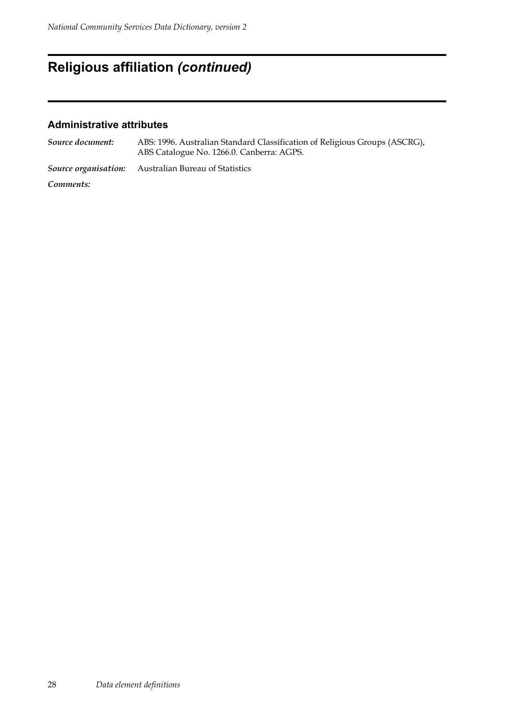## **Religious affiliation** *(continued)*

### **Administrative attributes**

| Source document:     | ABS: 1996. Australian Standard Classification of Religious Groups (ASCRG),<br>ABS Catalogue No. 1266.0. Canberra: AGPS. |
|----------------------|-------------------------------------------------------------------------------------------------------------------------|
| Source organisation: | Australian Bureau of Statistics                                                                                         |
|                      |                                                                                                                         |

*Comments:*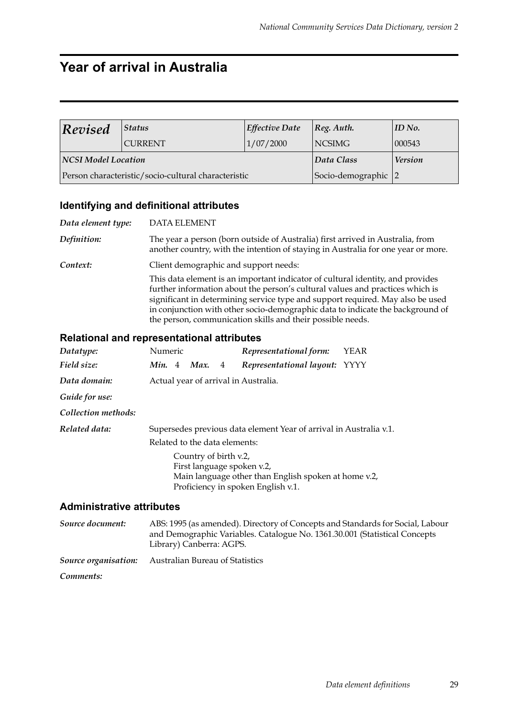## **Year of arrival in Australia**

| <b>Revised</b>      | <b>Status</b>                                       | <b>Effective Date</b> | $\vert$ Reg. Auth. | ID No. |
|---------------------|-----------------------------------------------------|-----------------------|--------------------|--------|
|                     | <b>CURRENT</b>                                      | 1/07/2000             | NCSIMG             | 000543 |
| NCSI Model Location |                                                     | Data Class            | <b>Version</b>     |        |
|                     | Person characteristic/socio-cultural characteristic | Socio-demographic 2   |                    |        |

### **Identifying and definitional attributes**

| Data element type: | <b>DATA ELEMENT</b>                                                                                                                                                                                                                                                                                                                                                                               |
|--------------------|---------------------------------------------------------------------------------------------------------------------------------------------------------------------------------------------------------------------------------------------------------------------------------------------------------------------------------------------------------------------------------------------------|
| <b>Definition:</b> | The year a person (born outside of Australia) first arrived in Australia, from<br>another country, with the intention of staying in Australia for one year or more.                                                                                                                                                                                                                               |
| Context:           | Client demographic and support needs:                                                                                                                                                                                                                                                                                                                                                             |
|                    | This data element is an important indicator of cultural identity, and provides<br>further information about the person's cultural values and practices which is<br>significant in determining service type and support required. May also be used<br>in conjunction with other socio-demographic data to indicate the background of<br>the person, communication skills and their possible needs. |

#### **Relational and representational attributes**

| Datatype:                        | Numeric                       |  |                       |   | Representational form:                                                                                                   | <b>YEAR</b> |  |
|----------------------------------|-------------------------------|--|-----------------------|---|--------------------------------------------------------------------------------------------------------------------------|-------------|--|
| Field size:                      | Min. $4$                      |  | Max.                  | 4 | Representational layout: YYYY                                                                                            |             |  |
| Data domain:                     |                               |  |                       |   | Actual year of arrival in Australia.                                                                                     |             |  |
| Guide for use:                   |                               |  |                       |   |                                                                                                                          |             |  |
| Collection methods:              |                               |  |                       |   |                                                                                                                          |             |  |
| Related data:                    |                               |  |                       |   | Supersedes previous data element Year of arrival in Australia v.1.                                                       |             |  |
|                                  | Related to the data elements: |  |                       |   |                                                                                                                          |             |  |
|                                  |                               |  | Country of birth v.2, |   | First language spoken v.2,<br>Main language other than English spoken at home v.2,<br>Proficiency in spoken English v.1. |             |  |
| <b>Administrative attributes</b> |                               |  |                       |   |                                                                                                                          |             |  |
| Course Josephonte                |                               |  |                       |   | A PC. 1005 (as amonded) Diverteur of Consente and Ctandaude for Casi                                                     |             |  |

#### *Source document:* ABS: 1995 (as amended). Directory of Concepts and Standards for Social, Labour and Demographic Variables. Catalogue No. 1361.30.001 (Statistical Concepts Library) Canberra: AGPS. *Source organisation:* Australian Bureau of Statistics *Comments:*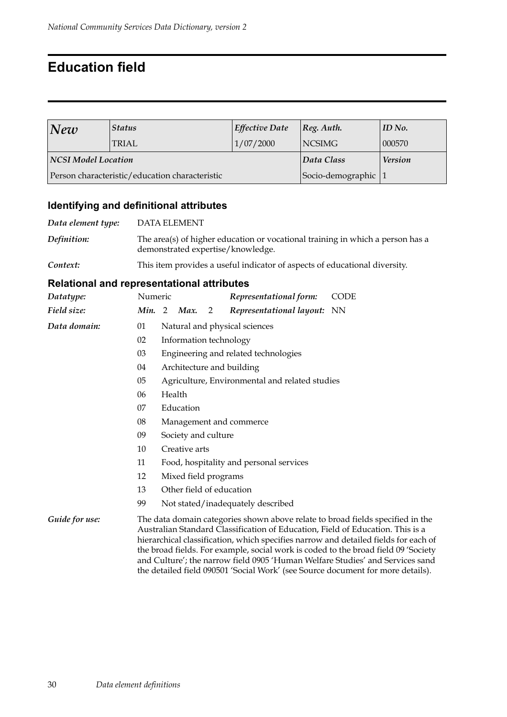## **Education field**

| New                 | <b>Status</b>                                  | <i>Effective Date</i> | $ Reg.$ Auth.         | ID No. |
|---------------------|------------------------------------------------|-----------------------|-----------------------|--------|
|                     | TRIAL                                          | 1/07/2000             | <b>NCSIMG</b>         | 000570 |
| NCSI Model Location |                                                | Data Class            | <b>Version</b>        |        |
|                     | Person characteristic/education characteristic |                       | Socio-demographic   1 |        |

### **Identifying and definitional attributes**

| Data element type: | DATA ELEMENT                                                                                                        |
|--------------------|---------------------------------------------------------------------------------------------------------------------|
| Definition:        | The area(s) of higher education or vocational training in which a person has a<br>demonstrated expertise/knowledge. |
| Context:           | This item provides a useful indicator of aspects of educational diversity.                                          |

| Datatype:      | Numeric |                                                                                                                                                                                                                                                                                                                                                                                                                                                                                                                   |                                      |   | Representational form:                         | <b>CODE</b> |  |  |
|----------------|---------|-------------------------------------------------------------------------------------------------------------------------------------------------------------------------------------------------------------------------------------------------------------------------------------------------------------------------------------------------------------------------------------------------------------------------------------------------------------------------------------------------------------------|--------------------------------------|---|------------------------------------------------|-------------|--|--|
| Field size:    | Min. 2  |                                                                                                                                                                                                                                                                                                                                                                                                                                                                                                                   | Max.                                 | 2 | Representational layout: NN                    |             |  |  |
| Data domain:   | 01      |                                                                                                                                                                                                                                                                                                                                                                                                                                                                                                                   |                                      |   | Natural and physical sciences                  |             |  |  |
|                | 02      |                                                                                                                                                                                                                                                                                                                                                                                                                                                                                                                   | Information technology               |   |                                                |             |  |  |
|                | 03      |                                                                                                                                                                                                                                                                                                                                                                                                                                                                                                                   | Engineering and related technologies |   |                                                |             |  |  |
|                | 04      |                                                                                                                                                                                                                                                                                                                                                                                                                                                                                                                   | Architecture and building            |   |                                                |             |  |  |
|                | 05      |                                                                                                                                                                                                                                                                                                                                                                                                                                                                                                                   |                                      |   | Agriculture, Environmental and related studies |             |  |  |
|                | 06      |                                                                                                                                                                                                                                                                                                                                                                                                                                                                                                                   | Health                               |   |                                                |             |  |  |
|                | 07      |                                                                                                                                                                                                                                                                                                                                                                                                                                                                                                                   | Education                            |   |                                                |             |  |  |
|                | 08      | Management and commerce                                                                                                                                                                                                                                                                                                                                                                                                                                                                                           |                                      |   |                                                |             |  |  |
|                | 09      |                                                                                                                                                                                                                                                                                                                                                                                                                                                                                                                   | Society and culture                  |   |                                                |             |  |  |
|                | 10      |                                                                                                                                                                                                                                                                                                                                                                                                                                                                                                                   | Creative arts                        |   |                                                |             |  |  |
|                | 11      |                                                                                                                                                                                                                                                                                                                                                                                                                                                                                                                   |                                      |   | Food, hospitality and personal services        |             |  |  |
|                | 12      |                                                                                                                                                                                                                                                                                                                                                                                                                                                                                                                   | Mixed field programs                 |   |                                                |             |  |  |
|                | 13      | Other field of education                                                                                                                                                                                                                                                                                                                                                                                                                                                                                          |                                      |   |                                                |             |  |  |
|                | 99      |                                                                                                                                                                                                                                                                                                                                                                                                                                                                                                                   |                                      |   | Not stated/inadequately described              |             |  |  |
| Guide for use: |         | The data domain categories shown above relate to broad fields specified in the<br>Australian Standard Classification of Education, Field of Education. This is a<br>hierarchical classification, which specifies narrow and detailed fields for each of<br>the broad fields. For example, social work is coded to the broad field 09 'Society<br>and Culture'; the narrow field 0905 'Human Welfare Studies' and Services sand<br>the detailed field 090501 'Social Work' (see Source document for more details). |                                      |   |                                                |             |  |  |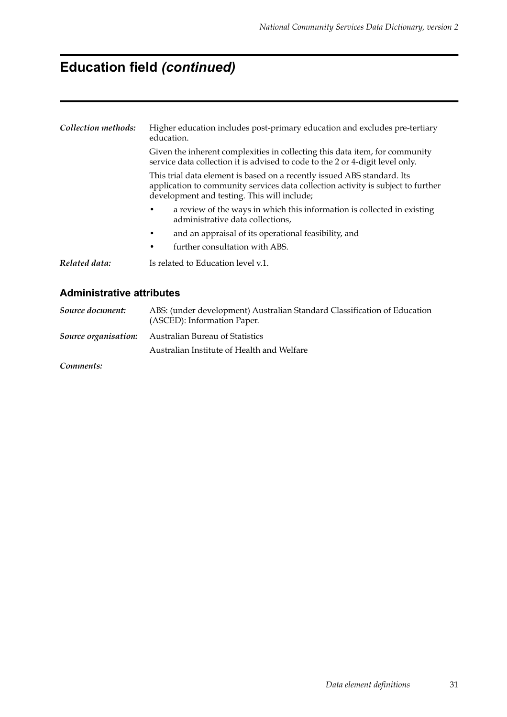## **Education field** *(continued)*

| Collection methods:              | Higher education includes post-primary education and excludes pre-tertiary<br>education.                                                                                                                   |  |  |  |  |  |  |
|----------------------------------|------------------------------------------------------------------------------------------------------------------------------------------------------------------------------------------------------------|--|--|--|--|--|--|
|                                  | Given the inherent complexities in collecting this data item, for community<br>service data collection it is advised to code to the 2 or 4-digit level only.                                               |  |  |  |  |  |  |
|                                  | This trial data element is based on a recently issued ABS standard. Its<br>application to community services data collection activity is subject to further<br>development and testing. This will include; |  |  |  |  |  |  |
|                                  | a review of the ways in which this information is collected in existing<br>administrative data collections,                                                                                                |  |  |  |  |  |  |
|                                  | and an appraisal of its operational feasibility, and                                                                                                                                                       |  |  |  |  |  |  |
|                                  | further consultation with ABS.<br>٠                                                                                                                                                                        |  |  |  |  |  |  |
| Related data:                    | Is related to Education level v.1.                                                                                                                                                                         |  |  |  |  |  |  |
| <b>Administrative attributes</b> |                                                                                                                                                                                                            |  |  |  |  |  |  |

## *Source document:* ABS: (under development) Australian Standard Classification of Education (ASCED): Information Paper. *Source organisation:* Australian Bureau of Statistics Australian Institute of Health and Welfare

*Comments:*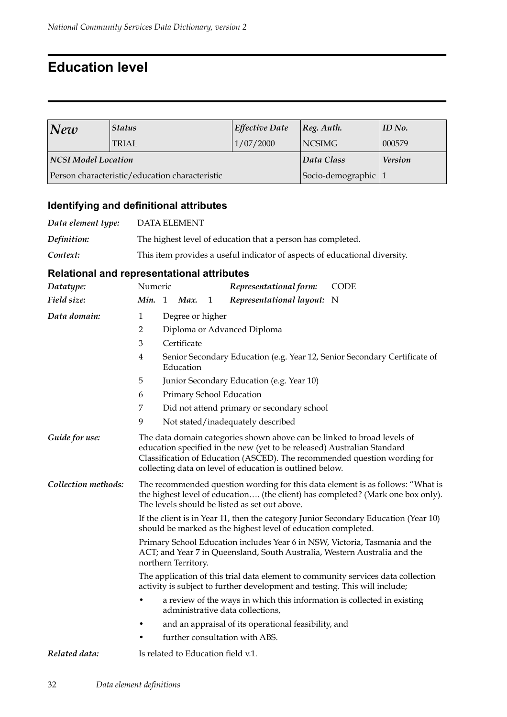## **Education level**

| <b>Status</b><br> New      |                                                | <b>Effective Date</b> | $ Reg.$ Auth.     | ID No.         |
|----------------------------|------------------------------------------------|-----------------------|-------------------|----------------|
|                            | TRIAL                                          | 1/07/2000             | NCSIMG            | 000579         |
| <b>NCSI Model Location</b> |                                                |                       | Data Class        | <b>Version</b> |
|                            | Person characteristic/education characteristic |                       | Socio-demographic |                |

## **Identifying and definitional attributes**

| Data element type: | DATA ELEMENT                                                               |
|--------------------|----------------------------------------------------------------------------|
| Definition:        | The highest level of education that a person has completed.                |
| Context:           | This item provides a useful indicator of aspects of educational diversity. |

| Datatype:                             | Numeric<br>Representational form:<br><b>CODE</b>                                                                                                                                                                                                                                            |  |  |  |  |  |  |
|---------------------------------------|---------------------------------------------------------------------------------------------------------------------------------------------------------------------------------------------------------------------------------------------------------------------------------------------|--|--|--|--|--|--|
| Field size:                           | Min. 1<br>Representational layout: N<br>Max.<br>1                                                                                                                                                                                                                                           |  |  |  |  |  |  |
| Data domain:                          | $\mathbf{1}$<br>Degree or higher                                                                                                                                                                                                                                                            |  |  |  |  |  |  |
|                                       | Diploma or Advanced Diploma<br>2                                                                                                                                                                                                                                                            |  |  |  |  |  |  |
|                                       | 3<br>Certificate                                                                                                                                                                                                                                                                            |  |  |  |  |  |  |
|                                       | 4<br>Senior Secondary Education (e.g. Year 12, Senior Secondary Certificate of<br>Education                                                                                                                                                                                                 |  |  |  |  |  |  |
|                                       | Junior Secondary Education (e.g. Year 10)<br>5                                                                                                                                                                                                                                              |  |  |  |  |  |  |
|                                       | Primary School Education<br>6                                                                                                                                                                                                                                                               |  |  |  |  |  |  |
|                                       | 7<br>Did not attend primary or secondary school                                                                                                                                                                                                                                             |  |  |  |  |  |  |
|                                       | 9<br>Not stated/inadequately described                                                                                                                                                                                                                                                      |  |  |  |  |  |  |
| Guide for use:<br>Collection methods: | The data domain categories shown above can be linked to broad levels of<br>education specified in the new (yet to be released) Australian Standard<br>Classification of Education (ASCED). The recommended question wording for<br>collecting data on level of education is outlined below. |  |  |  |  |  |  |
|                                       | The recommended question wording for this data element is as follows: "What is<br>the highest level of education (the client) has completed? (Mark one box only).<br>The levels should be listed as set out above.                                                                          |  |  |  |  |  |  |
|                                       | If the client is in Year 11, then the category Junior Secondary Education (Year 10)<br>should be marked as the highest level of education completed.                                                                                                                                        |  |  |  |  |  |  |
|                                       | Primary School Education includes Year 6 in NSW, Victoria, Tasmania and the<br>ACT; and Year 7 in Queensland, South Australia, Western Australia and the<br>northern Territory.                                                                                                             |  |  |  |  |  |  |
|                                       | The application of this trial data element to community services data collection<br>activity is subject to further development and testing. This will include;                                                                                                                              |  |  |  |  |  |  |
|                                       | a review of the ways in which this information is collected in existing<br>administrative data collections,                                                                                                                                                                                 |  |  |  |  |  |  |
|                                       | and an appraisal of its operational feasibility, and                                                                                                                                                                                                                                        |  |  |  |  |  |  |
|                                       | further consultation with ABS.<br>٠                                                                                                                                                                                                                                                         |  |  |  |  |  |  |
| Related data:                         | Is related to Education field v.1.                                                                                                                                                                                                                                                          |  |  |  |  |  |  |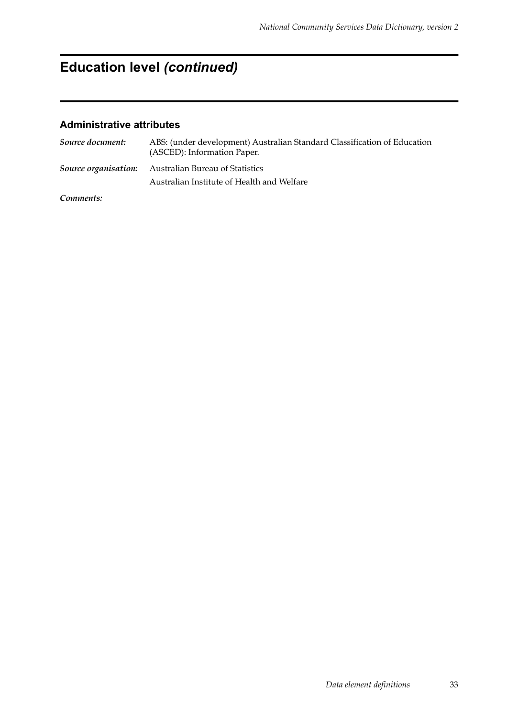# **Education level** *(continued)*

### **Administrative attributes**

| Source document: | ABS: (under development) Australian Standard Classification of Education<br>(ASCED): Information Paper. |
|------------------|---------------------------------------------------------------------------------------------------------|
|                  | <b>Source organisation:</b> Australian Bureau of Statistics                                             |
|                  | Australian Institute of Health and Welfare                                                              |

*Comments:*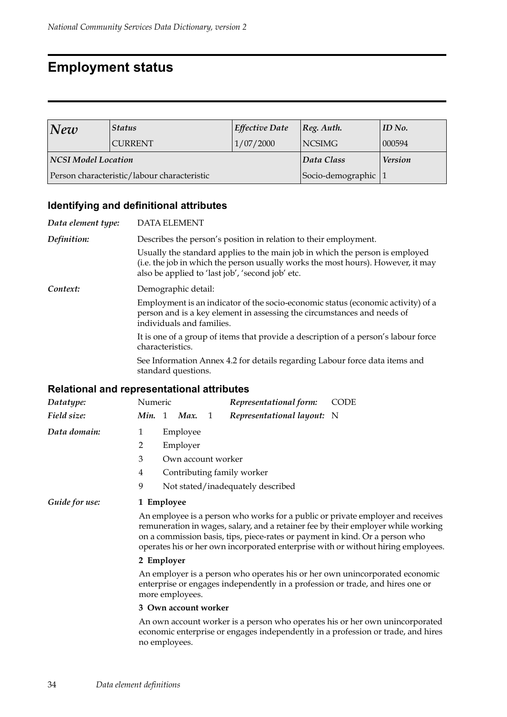## **Employment status**

| <b>Status</b><br>New       |                                             | <b>Effective Date</b> | $ Reg.$ Auth.       | ID No. |
|----------------------------|---------------------------------------------|-----------------------|---------------------|--------|
|                            | <b>CURRENT</b>                              | 1/07/2000             | <b>NCSIMG</b>       | 000594 |
| <b>NCSI Model Location</b> |                                             | Data Class            | <b>Version</b>      |        |
|                            | Person characteristic/labour characteristic |                       | Socio-demographic 1 |        |

## **Identifying and definitional attributes**

| Data element type: | <b>DATA ELEMENT</b>                                                                                                                                                                                                  |
|--------------------|----------------------------------------------------------------------------------------------------------------------------------------------------------------------------------------------------------------------|
| Definition:        | Describes the person's position in relation to their employment.                                                                                                                                                     |
|                    | Usually the standard applies to the main job in which the person is employed<br>(i.e. the job in which the person usually works the most hours). However, it may<br>also be applied to 'last job', 'second job' etc. |
| Context:           | Demographic detail:                                                                                                                                                                                                  |
|                    | Employment is an indicator of the socio-economic status (economic activity) of a<br>person and is a key element in assessing the circumstances and needs of<br>individuals and families.                             |
|                    | It is one of a group of items that provide a description of a person's labour force<br>characteristics.                                                                                                              |
|                    | See Information Annex 4.2 for details regarding Labour force data items and<br>standard questions.                                                                                                                   |
|                    |                                                                                                                                                                                                                      |

#### **Relational and representational attributes**

| Datatype:      | Numeric    |  |                    |                | Representational form:                                                       | CODE                                                                                                                                                                                                                                                      |  |
|----------------|------------|--|--------------------|----------------|------------------------------------------------------------------------------|-----------------------------------------------------------------------------------------------------------------------------------------------------------------------------------------------------------------------------------------------------------|--|
| Field size:    |            |  | Min. 1 Max.        | $\overline{1}$ | Representational layout: N                                                   |                                                                                                                                                                                                                                                           |  |
| Data domain:   | 1          |  | Employee           |                |                                                                              |                                                                                                                                                                                                                                                           |  |
|                | 2          |  | Employer           |                |                                                                              |                                                                                                                                                                                                                                                           |  |
|                | 3          |  | Own account worker |                |                                                                              |                                                                                                                                                                                                                                                           |  |
|                | 4          |  |                    |                | Contributing family worker                                                   |                                                                                                                                                                                                                                                           |  |
|                | 9          |  |                    |                | Not stated/inadequately described                                            |                                                                                                                                                                                                                                                           |  |
| Guide for use: | 1 Employee |  |                    |                |                                                                              |                                                                                                                                                                                                                                                           |  |
|                |            |  |                    |                | on a commission basis, tips, piece-rates or payment in kind. Or a person who | An employee is a person who works for a public or private employer and receives<br>remuneration in wages, salary, and a retainer fee by their employer while working<br>operates his or her own incorporated enterprise with or without hiring employees. |  |
|                | 2 Employer |  |                    |                |                                                                              |                                                                                                                                                                                                                                                           |  |
|                |            |  | more employees.    |                |                                                                              | An employer is a person who operates his or her own unincorporated economic<br>enterprise or engages independently in a profession or trade, and hires one or                                                                                             |  |

#### **3 Own account worker**

An own account worker is a person who operates his or her own unincorporated economic enterprise or engages independently in a profession or trade, and hires no employees.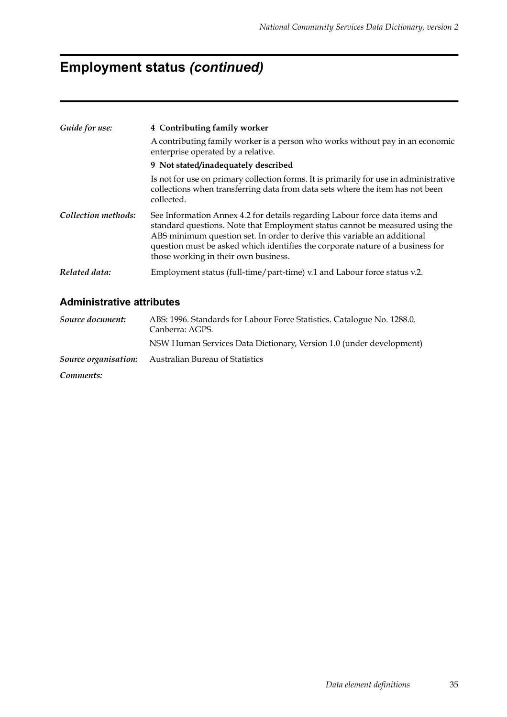## **Employment status** *(continued)*

| Guide for use:      | 4 Contributing family worker                                                                                                                                                                                                                                                                                                                                      |  |  |  |  |  |
|---------------------|-------------------------------------------------------------------------------------------------------------------------------------------------------------------------------------------------------------------------------------------------------------------------------------------------------------------------------------------------------------------|--|--|--|--|--|
|                     | A contributing family worker is a person who works without pay in an economic<br>enterprise operated by a relative.                                                                                                                                                                                                                                               |  |  |  |  |  |
|                     | 9 Not stated/inadequately described                                                                                                                                                                                                                                                                                                                               |  |  |  |  |  |
|                     | Is not for use on primary collection forms. It is primarily for use in administrative<br>collections when transferring data from data sets where the item has not been<br>collected.                                                                                                                                                                              |  |  |  |  |  |
| Collection methods: | See Information Annex 4.2 for details regarding Labour force data items and<br>standard questions. Note that Employment status cannot be measured using the<br>ABS minimum question set. In order to derive this variable an additional<br>question must be asked which identifies the corporate nature of a business for<br>those working in their own business. |  |  |  |  |  |
| Related data:       | Employment status (full-time/part-time) v.1 and Labour force status v.2.                                                                                                                                                                                                                                                                                          |  |  |  |  |  |

#### **Administrative attributes**

*Source document:* ABS: 1996. Standards for Labour Force Statistics. Catalogue No. 1288.0. Canberra: AGPS. NSW Human Services Data Dictionary, Version 1.0 (under development) *Source organisation:* Australian Bureau of Statistics *Comments:*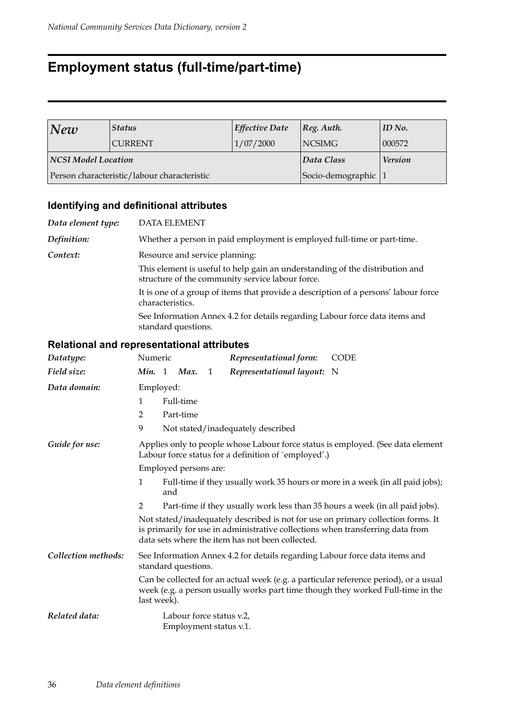## **Employment status (full-time/part-time)**

| <b>Status</b><br> New |                                             | <b>Effective Date</b> | $ Reg.$ Auth.     | $ID$ No. |
|-----------------------|---------------------------------------------|-----------------------|-------------------|----------|
|                       | <b>CURRENT</b>                              | 1/07/2000             | NCSIMG            | 000572   |
| NCSI Model Location   |                                             | Data Class            | <b>Version</b>    |          |
|                       | Person characteristic/labour characteristic |                       | Socio-demographic |          |

## **Identifying and definitional attributes**

| Data element type: | <b>DATA ELEMENT</b>                                                                                                              |
|--------------------|----------------------------------------------------------------------------------------------------------------------------------|
| Definition:        | Whether a person in paid employment is employed full-time or part-time.                                                          |
| Context:           | Resource and service planning:                                                                                                   |
|                    | This element is useful to help gain an understanding of the distribution and<br>structure of the community service labour force. |
|                    | It is one of a group of items that provide a description of a persons' labour force<br>characteristics.                          |
|                    | See Information Annex 4.2 for details regarding Labour force data items and<br>standard questions.                               |
|                    |                                                                                                                                  |

| Datatype:           | Numeric                                                                                                                                                                                                                |  |             |   | Representational form:                               | <b>CODE</b>                                                                                                                                                             |  |
|---------------------|------------------------------------------------------------------------------------------------------------------------------------------------------------------------------------------------------------------------|--|-------------|---|------------------------------------------------------|-------------------------------------------------------------------------------------------------------------------------------------------------------------------------|--|
| Field size:         |                                                                                                                                                                                                                        |  | Min. 1 Max. | 1 | Representational layout: N                           |                                                                                                                                                                         |  |
| Data domain:        | Employed:                                                                                                                                                                                                              |  |             |   |                                                      |                                                                                                                                                                         |  |
|                     | 1                                                                                                                                                                                                                      |  | Full-time   |   |                                                      |                                                                                                                                                                         |  |
|                     | 2                                                                                                                                                                                                                      |  | Part-time   |   |                                                      |                                                                                                                                                                         |  |
|                     | 9                                                                                                                                                                                                                      |  |             |   | Not stated/inadequately described                    |                                                                                                                                                                         |  |
| Guide for use:      |                                                                                                                                                                                                                        |  |             |   | Labour force status for a definition of `employed'.) | Applies only to people whose Labour force status is employed. (See data element                                                                                         |  |
|                     | Employed persons are:                                                                                                                                                                                                  |  |             |   |                                                      |                                                                                                                                                                         |  |
|                     | Full-time if they usually work 35 hours or more in a week (in all paid jobs);<br>1<br>and                                                                                                                              |  |             |   |                                                      |                                                                                                                                                                         |  |
|                     | 2                                                                                                                                                                                                                      |  |             |   |                                                      | Part-time if they usually work less than 35 hours a week (in all paid jobs).                                                                                            |  |
|                     | Not stated/inadequately described is not for use on primary collection forms. It<br>is primarily for use in administrative collections when transferring data from<br>data sets where the item has not been collected. |  |             |   |                                                      |                                                                                                                                                                         |  |
| Collection methods: | See Information Annex 4.2 for details regarding Labour force data items and<br>standard questions.                                                                                                                     |  |             |   |                                                      |                                                                                                                                                                         |  |
|                     | last week).                                                                                                                                                                                                            |  |             |   |                                                      | Can be collected for an actual week (e.g. a particular reference period), or a usual<br>week (e.g. a person usually works part time though they worked Full-time in the |  |
| Related data:       |                                                                                                                                                                                                                        |  |             |   | Labour force status v.2,<br>Employment status v.1.   |                                                                                                                                                                         |  |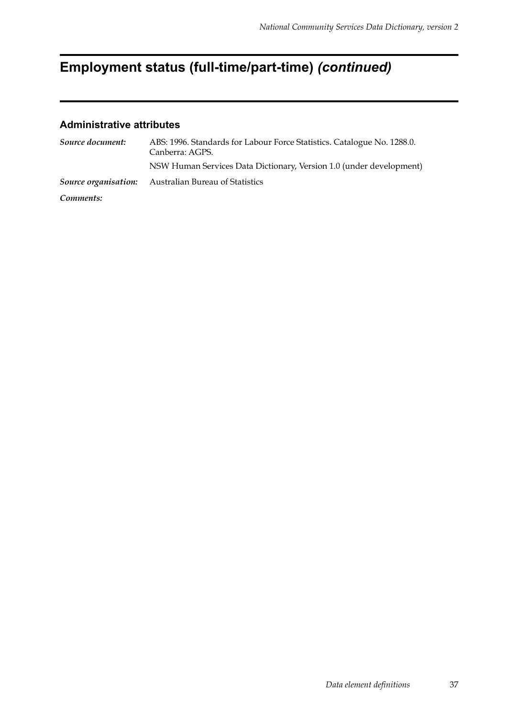# **Employment status (full-time/part-time)** *(continued)*

| Source document: | ABS: 1996. Standards for Labour Force Statistics. Catalogue No. 1288.0.<br>Canberra: AGPS. |
|------------------|--------------------------------------------------------------------------------------------|
|                  | NSW Human Services Data Dictionary, Version 1.0 (under development)                        |
|                  | <b>Source organisation:</b> Australian Bureau of Statistics                                |
| Comments:        |                                                                                            |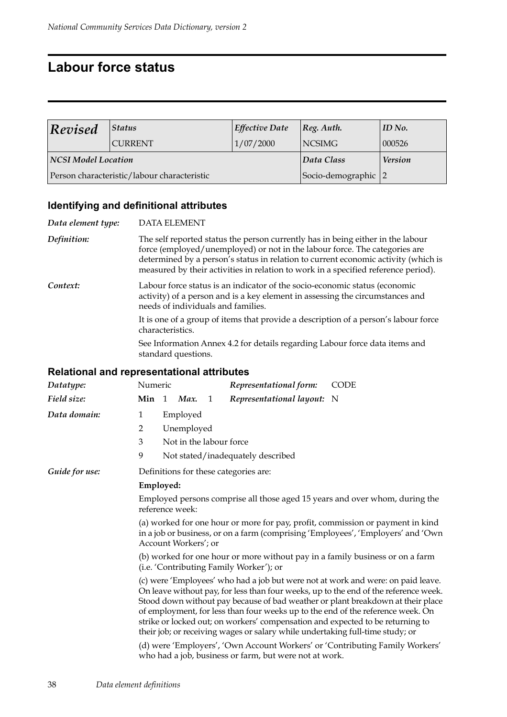## **Labour force status**

| $\bf$ Revised                               | Status         | <b>Effective Date</b> | $ Reg.$ Auth.       | ID No.         |
|---------------------------------------------|----------------|-----------------------|---------------------|----------------|
|                                             | <b>CURRENT</b> | 1/07/2000             | <b>NCSIMG</b>       | 000526         |
| NCSI Model Location                         |                |                       | Data Class          | <b>Version</b> |
| Person characteristic/labour characteristic |                |                       | Socio-demographic 2 |                |

#### **Identifying and definitional attributes**

| Data element type: | <b>DATA ELEMENT</b>                                                                                                                                                                                                                                                                                                                       |  |  |  |  |  |
|--------------------|-------------------------------------------------------------------------------------------------------------------------------------------------------------------------------------------------------------------------------------------------------------------------------------------------------------------------------------------|--|--|--|--|--|
| Definition:        | The self reported status the person currently has in being either in the labour<br>force (employed/unemployed) or not in the labour force. The categories are<br>determined by a person's status in relation to current economic activity (which is<br>measured by their activities in relation to work in a specified reference period). |  |  |  |  |  |
| Context:           | Labour force status is an indicator of the socio-economic status (economic<br>activity) of a person and is a key element in assessing the circumstances and<br>needs of individuals and families.                                                                                                                                         |  |  |  |  |  |
|                    | It is one of a group of items that provide a description of a person's labour force<br>characteristics.                                                                                                                                                                                                                                   |  |  |  |  |  |
|                    | See Information Annex 4.2 for details regarding Labour force data items and<br>standard questions.                                                                                                                                                                                                                                        |  |  |  |  |  |
|                    | <b>Relational and representational attributes</b>                                                                                                                                                                                                                                                                                         |  |  |  |  |  |
| Datatype:          | Numeric<br>Representational form:<br><b>CODE</b>                                                                                                                                                                                                                                                                                          |  |  |  |  |  |
| Field size:        | Min 1 Max. 1<br>Representational layout: N                                                                                                                                                                                                                                                                                                |  |  |  |  |  |
| Data domain:       | $\mathbf{1}$<br>Employed                                                                                                                                                                                                                                                                                                                  |  |  |  |  |  |
|                    | Unemployed<br>$\overline{2}$                                                                                                                                                                                                                                                                                                              |  |  |  |  |  |
|                    | 3<br>Not in the labour force                                                                                                                                                                                                                                                                                                              |  |  |  |  |  |
|                    | 9<br>Not stated/inadequately described                                                                                                                                                                                                                                                                                                    |  |  |  |  |  |
| Guide for use:     | Definitions for these categories are:                                                                                                                                                                                                                                                                                                     |  |  |  |  |  |
|                    | Employed:                                                                                                                                                                                                                                                                                                                                 |  |  |  |  |  |
|                    | Employed persons comprise all those aged 15 years and over whom, during the<br>reference week:                                                                                                                                                                                                                                            |  |  |  |  |  |
|                    | (a) worked for one hour or more for pay, profit, commission or payment in kind<br>in a job or business, or on a farm (comprising 'Employees', 'Employers' and 'Own<br>Account Workers'; or                                                                                                                                                |  |  |  |  |  |

(b) worked for one hour or more without pay in a family business or on a farm (i.e. 'Contributing Family Worker'); or

(c) were 'Employees' who had a job but were not at work and were: on paid leave. On leave without pay, for less than four weeks, up to the end of the reference week. Stood down without pay because of bad weather or plant breakdown at their place of employment, for less than four weeks up to the end of the reference week. On strike or locked out; on workers' compensation and expected to be returning to their job; or receiving wages or salary while undertaking full-time study; or

(d) were 'Employers', 'Own Account Workers' or 'Contributing Family Workers' who had a job, business or farm, but were not at work.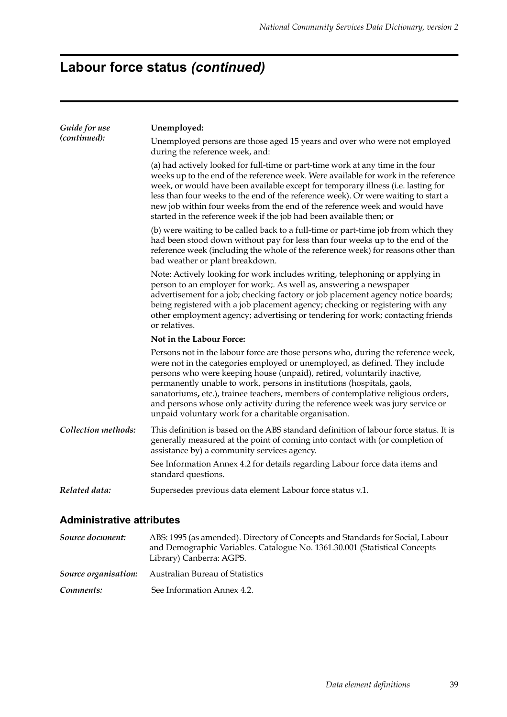# **Labour force status** *(continued)*

| Guide for use       | Unemployed:                                                                                                                                                                                                                                                                                                                                                                                                                                                                                                                                        |  |  |  |  |  |
|---------------------|----------------------------------------------------------------------------------------------------------------------------------------------------------------------------------------------------------------------------------------------------------------------------------------------------------------------------------------------------------------------------------------------------------------------------------------------------------------------------------------------------------------------------------------------------|--|--|--|--|--|
| (continued):        | Unemployed persons are those aged 15 years and over who were not employed<br>during the reference week, and:                                                                                                                                                                                                                                                                                                                                                                                                                                       |  |  |  |  |  |
|                     | (a) had actively looked for full-time or part-time work at any time in the four<br>weeks up to the end of the reference week. Were available for work in the reference<br>week, or would have been available except for temporary illness (i.e. lasting for<br>less than four weeks to the end of the reference week). Or were waiting to start a<br>new job within four weeks from the end of the reference week and would have<br>started in the reference week if the job had been available then; or                                           |  |  |  |  |  |
|                     | (b) were waiting to be called back to a full-time or part-time job from which they<br>had been stood down without pay for less than four weeks up to the end of the<br>reference week (including the whole of the reference week) for reasons other than<br>bad weather or plant breakdown.                                                                                                                                                                                                                                                        |  |  |  |  |  |
|                     | Note: Actively looking for work includes writing, telephoning or applying in<br>person to an employer for work;. As well as, answering a newspaper<br>advertisement for a job; checking factory or job placement agency notice boards;<br>being registered with a job placement agency; checking or registering with any<br>other employment agency; advertising or tendering for work; contacting friends<br>or relatives.                                                                                                                        |  |  |  |  |  |
|                     | Not in the Labour Force:                                                                                                                                                                                                                                                                                                                                                                                                                                                                                                                           |  |  |  |  |  |
|                     | Persons not in the labour force are those persons who, during the reference week,<br>were not in the categories employed or unemployed, as defined. They include<br>persons who were keeping house (unpaid), retired, voluntarily inactive,<br>permanently unable to work, persons in institutions (hospitals, gaols,<br>sanatoriums, etc.), trainee teachers, members of contemplative religious orders,<br>and persons whose only activity during the reference week was jury service or<br>unpaid voluntary work for a charitable organisation. |  |  |  |  |  |
| Collection methods: | This definition is based on the ABS standard definition of labour force status. It is<br>generally measured at the point of coming into contact with (or completion of<br>assistance by) a community services agency.                                                                                                                                                                                                                                                                                                                              |  |  |  |  |  |
|                     | See Information Annex 4.2 for details regarding Labour force data items and<br>standard questions.                                                                                                                                                                                                                                                                                                                                                                                                                                                 |  |  |  |  |  |
| Related data:       | Supersedes previous data element Labour force status v.1.                                                                                                                                                                                                                                                                                                                                                                                                                                                                                          |  |  |  |  |  |

| Source document:     | ABS: 1995 (as amended). Directory of Concepts and Standards for Social, Labour<br>and Demographic Variables. Catalogue No. 1361.30.001 (Statistical Concepts<br>Library) Canberra: AGPS. |
|----------------------|------------------------------------------------------------------------------------------------------------------------------------------------------------------------------------------|
| Source organisation: | Australian Bureau of Statistics                                                                                                                                                          |
| Comments:            | See Information Annex 4.2.                                                                                                                                                               |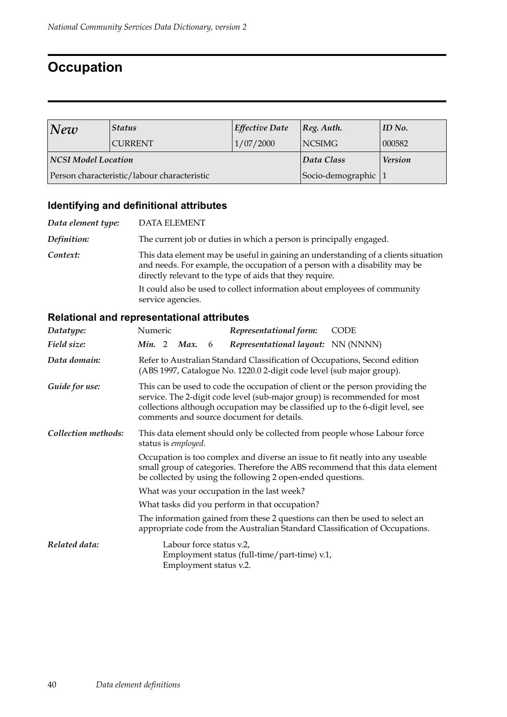## **Occupation**

| New                                         | <b>Status</b>  | <b>Effective Date</b> | $ Reg.$ Auth.     | ID No.         |
|---------------------------------------------|----------------|-----------------------|-------------------|----------------|
|                                             | <b>CURRENT</b> | 1/07/2000             | <b>NCSIMG</b>     | 000582         |
| NCSI Model Location                         |                |                       | Data Class        | <b>Version</b> |
| Person characteristic/labour characteristic |                |                       | Socio-demographic |                |

## **Identifying and definitional attributes**

| Data element type: | <b>DATA ELEMENT</b>                                                                                                                                                                                                           |
|--------------------|-------------------------------------------------------------------------------------------------------------------------------------------------------------------------------------------------------------------------------|
| Definition:        | The current job or duties in which a person is principally engaged.                                                                                                                                                           |
| Context:           | This data element may be useful in gaining an understanding of a clients situation<br>and needs. For example, the occupation of a person with a disability may be<br>directly relevant to the type of aids that they require. |
|                    | It could also be used to collect information about employees of community<br>service agencies.                                                                                                                                |

| Datatype:           | Numeric<br>Representational form:<br><b>CODE</b>                                                                                                                                                                                                                                          |  |  |  |  |  |
|---------------------|-------------------------------------------------------------------------------------------------------------------------------------------------------------------------------------------------------------------------------------------------------------------------------------------|--|--|--|--|--|
| Field size:         | <i>Representational layout:</i> NN (NNNN)<br>Min. 2 Max.<br>6                                                                                                                                                                                                                             |  |  |  |  |  |
| Data domain:        | Refer to Australian Standard Classification of Occupations, Second edition<br>(ABS 1997, Catalogue No. 1220.0 2-digit code level (sub major group).                                                                                                                                       |  |  |  |  |  |
| Guide for use:      | This can be used to code the occupation of client or the person providing the<br>service. The 2-digit code level (sub-major group) is recommended for most<br>collections although occupation may be classified up to the 6-digit level, see<br>comments and source document for details. |  |  |  |  |  |
| Collection methods: | This data element should only be collected from people whose Labour force<br>status is employed.                                                                                                                                                                                          |  |  |  |  |  |
|                     | Occupation is too complex and diverse an issue to fit neatly into any useable<br>small group of categories. Therefore the ABS recommend that this data element<br>be collected by using the following 2 open-ended questions.                                                             |  |  |  |  |  |
|                     | What was your occupation in the last week?                                                                                                                                                                                                                                                |  |  |  |  |  |
|                     | What tasks did you perform in that occupation?                                                                                                                                                                                                                                            |  |  |  |  |  |
|                     | The information gained from these 2 questions can then be used to select an<br>appropriate code from the Australian Standard Classification of Occupations.                                                                                                                               |  |  |  |  |  |
| Related data:       | Labour force status v.2,<br>Employment status (full-time/part-time) v.1,<br>Employment status v.2.                                                                                                                                                                                        |  |  |  |  |  |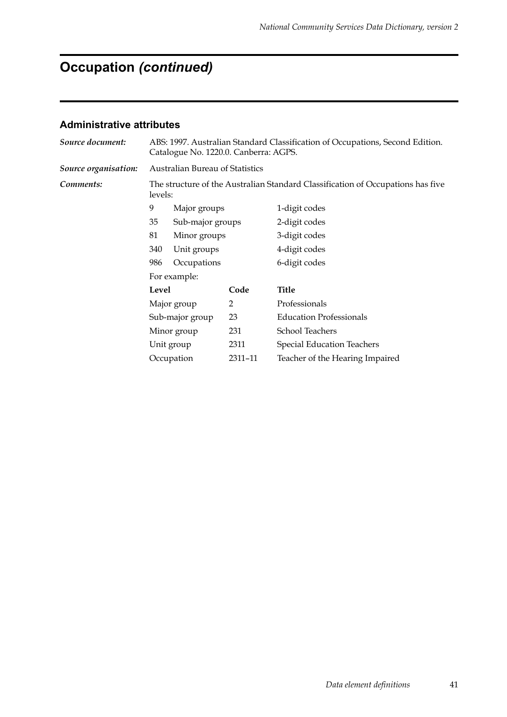# **Occupation** *(continued)*

| Source document:     | ABS: 1997. Australian Standard Classification of Occupations, Second Edition.<br>Catalogue No. 1220.0. Canberra: AGPS. |                                        |         |                                   |  |  |
|----------------------|------------------------------------------------------------------------------------------------------------------------|----------------------------------------|---------|-----------------------------------|--|--|
| Source organisation: |                                                                                                                        | <b>Australian Bureau of Statistics</b> |         |                                   |  |  |
| Comments:            | The structure of the Australian Standard Classification of Occupations has five<br>levels:                             |                                        |         |                                   |  |  |
|                      | 9                                                                                                                      | Major groups                           |         | 1-digit codes                     |  |  |
|                      | 35                                                                                                                     | Sub-major groups                       |         | 2-digit codes                     |  |  |
|                      | 81                                                                                                                     | Minor groups                           |         | 3-digit codes                     |  |  |
|                      | 340                                                                                                                    | Unit groups                            |         | 4-digit codes                     |  |  |
|                      | 986                                                                                                                    | Occupations                            |         | 6-digit codes                     |  |  |
|                      |                                                                                                                        | For example:                           |         |                                   |  |  |
|                      | Level                                                                                                                  |                                        | Code    | <b>Title</b>                      |  |  |
|                      |                                                                                                                        | Major group                            | 2       | Professionals                     |  |  |
|                      |                                                                                                                        | Sub-major group                        | 23      | <b>Education Professionals</b>    |  |  |
|                      | Minor group                                                                                                            |                                        | 231     | <b>School Teachers</b>            |  |  |
|                      | Unit group                                                                                                             |                                        | 2311    | <b>Special Education Teachers</b> |  |  |
|                      | Occupation                                                                                                             |                                        | 2311-11 | Teacher of the Hearing Impaired   |  |  |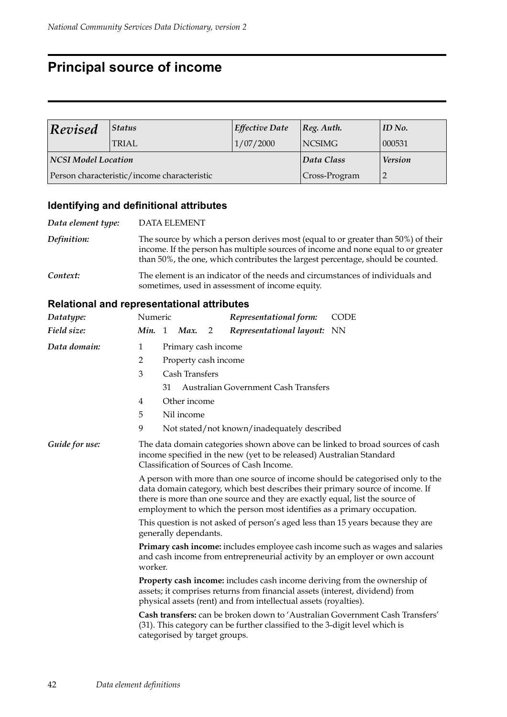## **Principal source of income**

| Revised             | Status                                      | <b>Effective Date</b> | $ Reg.$ Auth. | ID No.         |
|---------------------|---------------------------------------------|-----------------------|---------------|----------------|
|                     | 'TRIAL                                      | 1/07/2000             | <b>NCSIMG</b> | 000531         |
| NCSI Model Location |                                             |                       | Data Class    | <b>Version</b> |
|                     | Person characteristic/income characteristic |                       | Cross-Program |                |

### **Identifying and definitional attributes**

| Data element type: | <b>DATA ELEMENT</b>                                                                                                                                                                                                                                       |
|--------------------|-----------------------------------------------------------------------------------------------------------------------------------------------------------------------------------------------------------------------------------------------------------|
| Definition:        | The source by which a person derives most (equal to or greater than 50%) of their<br>income. If the person has multiple sources of income and none equal to or greater<br>than 50%, the one, which contributes the largest percentage, should be counted. |
| Context:           | The element is an indicator of the needs and circumstances of individuals and<br>sometimes, used in assessment of income equity.                                                                                                                          |

| Datatype:      | Numeric                                                                                                                                                                                                                                                                                                                    |  |                |   | Representational form:                      | <b>CODE</b> |  |
|----------------|----------------------------------------------------------------------------------------------------------------------------------------------------------------------------------------------------------------------------------------------------------------------------------------------------------------------------|--|----------------|---|---------------------------------------------|-------------|--|
| Field size:    | Min. 1                                                                                                                                                                                                                                                                                                                     |  | Max.           | 2 | Representational layout: NN                 |             |  |
| Data domain:   | 1<br>Primary cash income                                                                                                                                                                                                                                                                                                   |  |                |   |                                             |             |  |
|                | 2<br>Property cash income                                                                                                                                                                                                                                                                                                  |  |                |   |                                             |             |  |
|                | 3                                                                                                                                                                                                                                                                                                                          |  | Cash Transfers |   |                                             |             |  |
|                | <b>Australian Government Cash Transfers</b><br>31                                                                                                                                                                                                                                                                          |  |                |   |                                             |             |  |
|                | Other income<br>4                                                                                                                                                                                                                                                                                                          |  |                |   |                                             |             |  |
|                | 5                                                                                                                                                                                                                                                                                                                          |  | Nil income     |   |                                             |             |  |
|                | 9                                                                                                                                                                                                                                                                                                                          |  |                |   | Not stated/not known/inadequately described |             |  |
| Guide for use: | The data domain categories shown above can be linked to broad sources of cash<br>income specified in the new (yet to be released) Australian Standard<br>Classification of Sources of Cash Income.                                                                                                                         |  |                |   |                                             |             |  |
|                | A person with more than one source of income should be categorised only to the<br>data domain category, which best describes their primary source of income. If<br>there is more than one source and they are exactly equal, list the source of<br>employment to which the person most identifies as a primary occupation. |  |                |   |                                             |             |  |
|                | This question is not asked of person's aged less than 15 years because they are<br>generally dependants.                                                                                                                                                                                                                   |  |                |   |                                             |             |  |
|                | Primary cash income: includes employee cash income such as wages and salaries<br>and cash income from entrepreneurial activity by an employer or own account<br>worker.                                                                                                                                                    |  |                |   |                                             |             |  |
|                | Property cash income: includes cash income deriving from the ownership of<br>assets; it comprises returns from financial assets (interest, dividend) from<br>physical assets (rent) and from intellectual assets (royalties).                                                                                              |  |                |   |                                             |             |  |
|                | Cash transfers: can be broken down to 'Australian Government Cash Transfers'<br>(31). This category can be further classified to the 3-digit level which is<br>categorised by target groups.                                                                                                                               |  |                |   |                                             |             |  |
|                |                                                                                                                                                                                                                                                                                                                            |  |                |   |                                             |             |  |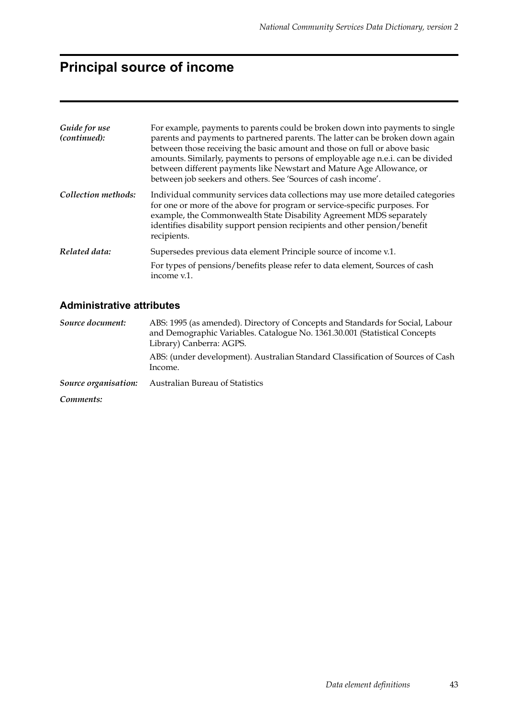# **Principal source of income**

| Guide for use<br>(continued): | For example, payments to parents could be broken down into payments to single<br>parents and payments to partnered parents. The latter can be broken down again<br>between those receiving the basic amount and those on full or above basic<br>amounts. Similarly, payments to persons of employable age n.e.i. can be divided<br>between different payments like Newstart and Mature Age Allowance, or<br>between job seekers and others. See 'Sources of cash income'. |
|-------------------------------|---------------------------------------------------------------------------------------------------------------------------------------------------------------------------------------------------------------------------------------------------------------------------------------------------------------------------------------------------------------------------------------------------------------------------------------------------------------------------|
| Collection methods:           | Individual community services data collections may use more detailed categories<br>for one or more of the above for program or service-specific purposes. For<br>example, the Commonwealth State Disability Agreement MDS separately<br>identifies disability support pension recipients and other pension/benefit<br>recipients.                                                                                                                                         |
| Related data:                 | Supersedes previous data element Principle source of income v.1.<br>For types of pensions/benefits please refer to data element, Sources of cash<br>income v.1.                                                                                                                                                                                                                                                                                                           |

| Source document:     | ABS: 1995 (as amended). Directory of Concepts and Standards for Social, Labour<br>and Demographic Variables. Catalogue No. 1361.30.001 (Statistical Concepts<br>Library) Canberra: AGPS. |  |  |
|----------------------|------------------------------------------------------------------------------------------------------------------------------------------------------------------------------------------|--|--|
|                      | ABS: (under development). Australian Standard Classification of Sources of Cash<br>Income.                                                                                               |  |  |
| Source organisation: | Australian Bureau of Statistics                                                                                                                                                          |  |  |
| Comments:            |                                                                                                                                                                                          |  |  |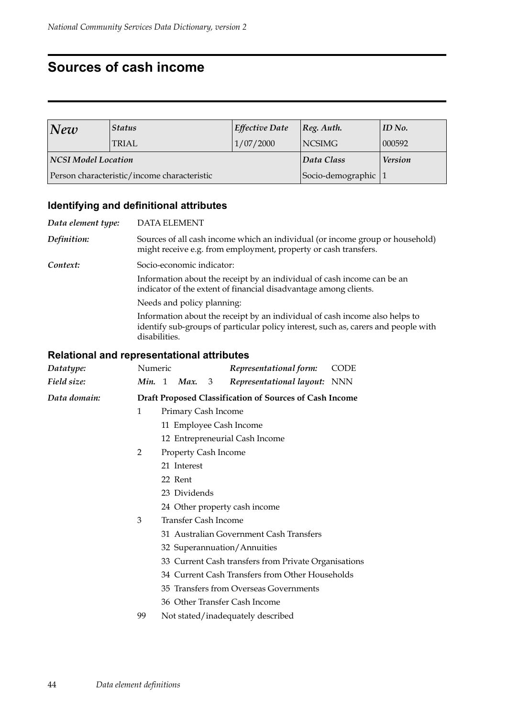## **Sources of cash income**

| <b>Status</b><br> New      |                                             | <b>Effective Date</b> | [Reg. Author.        | $ID$ No. |
|----------------------------|---------------------------------------------|-----------------------|----------------------|----------|
|                            | <b>TRIAL</b>                                | 1/07/2000             | <b>NCSIMG</b>        | 000592   |
| <b>NCSI Model Location</b> |                                             | Data Class            | <b>Version</b>       |          |
|                            | Person characteristic/income characteristic |                       | Socio-demographic  1 |          |

#### **Identifying and definitional attributes**

*Data element type:* DATA ELEMENT *Definition:* Sources of all cash income which an individual (or income group or household) might receive e.g. from employment, property or cash transfers. *Context:* Socio-economic indicator: Information about the receipt by an individual of cash income can be an indicator of the extent of financial disadvantage among clients. Needs and policy planning: Information about the receipt by an individual of cash income also helps to identify sub-groups of particular policy interest, such as, carers and people with disabilities.

| Datatype:    | Numeric                                                 | Representational form:<br><b>CODE</b>  |                                         |  |                                                      |  |
|--------------|---------------------------------------------------------|----------------------------------------|-----------------------------------------|--|------------------------------------------------------|--|
| Field size:  | Min. 1                                                  |                                        | <b>Max.</b> 3                           |  | Representational layout: NNN                         |  |
| Data domain: | Draft Proposed Classification of Sources of Cash Income |                                        |                                         |  |                                                      |  |
|              | $\mathbf{1}$                                            |                                        | Primary Cash Income                     |  |                                                      |  |
|              |                                                         |                                        |                                         |  | 11 Employee Cash Income                              |  |
|              |                                                         | 12 Entrepreneurial Cash Income         |                                         |  |                                                      |  |
|              | 2                                                       |                                        | <b>Property Cash Income</b>             |  |                                                      |  |
|              |                                                         | 21 Interest                            |                                         |  |                                                      |  |
|              |                                                         | 22 Rent                                |                                         |  |                                                      |  |
|              |                                                         | 23 Dividends                           |                                         |  |                                                      |  |
|              |                                                         | 24 Other property cash income          |                                         |  |                                                      |  |
|              | 3                                                       | Transfer Cash Income                   |                                         |  |                                                      |  |
|              |                                                         |                                        | 31 Australian Government Cash Transfers |  |                                                      |  |
|              |                                                         |                                        |                                         |  | 32 Superannuation/Annuities                          |  |
|              |                                                         |                                        |                                         |  | 33 Current Cash transfers from Private Organisations |  |
|              |                                                         |                                        |                                         |  | 34 Current Cash Transfers from Other Households      |  |
|              |                                                         | 35 Transfers from Overseas Governments |                                         |  |                                                      |  |
|              |                                                         |                                        |                                         |  | 36 Other Transfer Cash Income                        |  |
|              | 99                                                      |                                        |                                         |  | Not stated/inadequately described                    |  |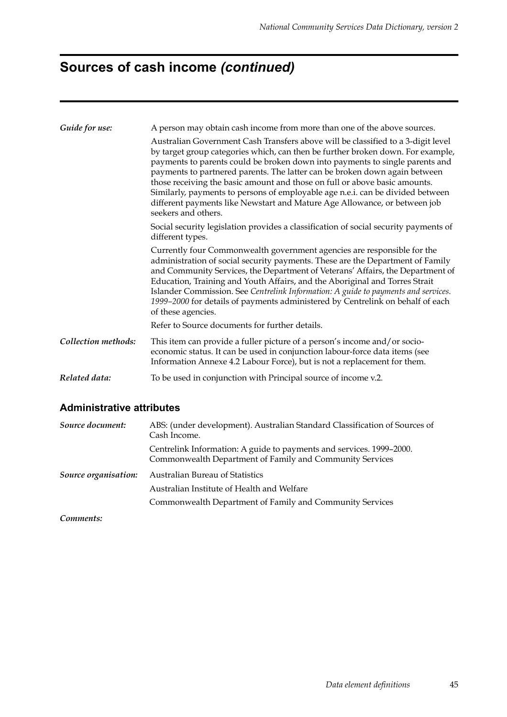# **Sources of cash income** *(continued)*

| Guide for use:      | A person may obtain cash income from more than one of the above sources.                                                                                                                                                                                                                                                                                                                                                                                                                                                                                                                              |
|---------------------|-------------------------------------------------------------------------------------------------------------------------------------------------------------------------------------------------------------------------------------------------------------------------------------------------------------------------------------------------------------------------------------------------------------------------------------------------------------------------------------------------------------------------------------------------------------------------------------------------------|
|                     | Australian Government Cash Transfers above will be classified to a 3-digit level<br>by target group categories which, can then be further broken down. For example,<br>payments to parents could be broken down into payments to single parents and<br>payments to partnered parents. The latter can be broken down again between<br>those receiving the basic amount and those on full or above basic amounts.<br>Similarly, payments to persons of employable age n.e.i. can be divided between<br>different payments like Newstart and Mature Age Allowance, or between job<br>seekers and others. |
|                     | Social security legislation provides a classification of social security payments of<br>different types.                                                                                                                                                                                                                                                                                                                                                                                                                                                                                              |
|                     | Currently four Commonwealth government agencies are responsible for the<br>administration of social security payments. These are the Department of Family<br>and Community Services, the Department of Veterans' Affairs, the Department of<br>Education, Training and Youth Affairs, and the Aboriginal and Torres Strait<br>Islander Commission. See Centrelink Information: A guide to payments and services.<br>1999-2000 for details of payments administered by Centrelink on behalf of each<br>of these agencies.                                                                              |
|                     | Refer to Source documents for further details.                                                                                                                                                                                                                                                                                                                                                                                                                                                                                                                                                        |
| Collection methods: | This item can provide a fuller picture of a person's income and/or socio-<br>economic status. It can be used in conjunction labour-force data items (see<br>Information Annexe 4.2 Labour Force), but is not a replacement for them.                                                                                                                                                                                                                                                                                                                                                                  |
| Related data:       | To be used in conjunction with Principal source of income v.2.                                                                                                                                                                                                                                                                                                                                                                                                                                                                                                                                        |
|                     |                                                                                                                                                                                                                                                                                                                                                                                                                                                                                                                                                                                                       |

#### **Administrative attributes**

| Source document:     | ABS: (under development). Australian Standard Classification of Sources of<br>Cash Income.                                       |
|----------------------|----------------------------------------------------------------------------------------------------------------------------------|
|                      | Centrelink Information: A guide to payments and services. 1999–2000.<br>Commonwealth Department of Family and Community Services |
| Source organisation: | Australian Bureau of Statistics                                                                                                  |
|                      | Australian Institute of Health and Welfare                                                                                       |
|                      | Commonwealth Department of Family and Community Services                                                                         |
|                      |                                                                                                                                  |

*Comments:*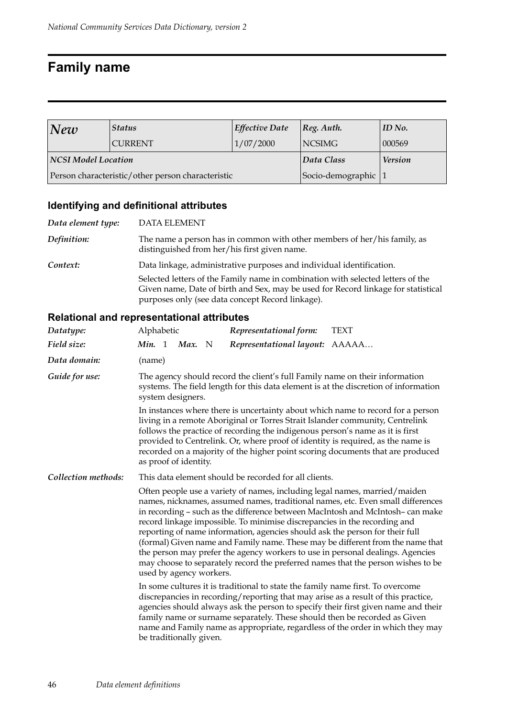## **Family name**

| New                 | <b>Effective Date</b><br><b>Status</b>            |            | $ Reg.$ Auth.       | $ID$ No. |
|---------------------|---------------------------------------------------|------------|---------------------|----------|
|                     | <b>CURRENT</b>                                    | 1/07/2000  | <b>NCSIMG</b>       | 000569   |
| NCSI Model Location |                                                   | Data Class | <b>Version</b>      |          |
|                     | Person characteristic/other person characteristic |            | Socio-demographic 1 |          |

## **Identifying and definitional attributes**

| Data element type: | <b>DATA ELEMENT</b>                                                                                                                                                                                                      |
|--------------------|--------------------------------------------------------------------------------------------------------------------------------------------------------------------------------------------------------------------------|
| Definition:        | The name a person has in common with other members of her/his family, as<br>distinguished from her/his first given name.                                                                                                 |
| Context:           | Data linkage, administrative purposes and individual identification.                                                                                                                                                     |
|                    | Selected letters of the Family name in combination with selected letters of the<br>Given name, Date of birth and Sex, may be used for Record linkage for statistical<br>purposes only (see data concept Record linkage). |

| Datatype:           | Alphabetic                                                                                                                                                                                                                                                                                                                                                                                                                                                                                                                                                                                                                                                           | Representational form:                                                                                                                                                                                                                                                                                                                                                                                                 | <b>TEXT</b>                                                                                                                                                                                                                                              |  |  |  |
|---------------------|----------------------------------------------------------------------------------------------------------------------------------------------------------------------------------------------------------------------------------------------------------------------------------------------------------------------------------------------------------------------------------------------------------------------------------------------------------------------------------------------------------------------------------------------------------------------------------------------------------------------------------------------------------------------|------------------------------------------------------------------------------------------------------------------------------------------------------------------------------------------------------------------------------------------------------------------------------------------------------------------------------------------------------------------------------------------------------------------------|----------------------------------------------------------------------------------------------------------------------------------------------------------------------------------------------------------------------------------------------------------|--|--|--|
| Field size:         | <b>Min.</b> 1<br>Max. N                                                                                                                                                                                                                                                                                                                                                                                                                                                                                                                                                                                                                                              | Representational layout: AAAAA                                                                                                                                                                                                                                                                                                                                                                                         |                                                                                                                                                                                                                                                          |  |  |  |
| Data domain:        | (name)                                                                                                                                                                                                                                                                                                                                                                                                                                                                                                                                                                                                                                                               |                                                                                                                                                                                                                                                                                                                                                                                                                        |                                                                                                                                                                                                                                                          |  |  |  |
| Guide for use:      | system designers.                                                                                                                                                                                                                                                                                                                                                                                                                                                                                                                                                                                                                                                    | The agency should record the client's full Family name on their information                                                                                                                                                                                                                                                                                                                                            | systems. The field length for this data element is at the discretion of information                                                                                                                                                                      |  |  |  |
|                     | as proof of identity.                                                                                                                                                                                                                                                                                                                                                                                                                                                                                                                                                                                                                                                | In instances where there is uncertainty about which name to record for a person<br>living in a remote Aboriginal or Torres Strait Islander community, Centrelink<br>follows the practice of recording the indigenous person's name as it is first<br>provided to Centrelink. Or, where proof of identity is required, as the name is<br>recorded on a majority of the higher point scoring documents that are produced |                                                                                                                                                                                                                                                          |  |  |  |
| Collection methods: |                                                                                                                                                                                                                                                                                                                                                                                                                                                                                                                                                                                                                                                                      | This data element should be recorded for all clients.                                                                                                                                                                                                                                                                                                                                                                  |                                                                                                                                                                                                                                                          |  |  |  |
|                     | Often people use a variety of names, including legal names, married/maiden<br>names, nicknames, assumed names, traditional names, etc. Even small differences<br>in recording - such as the difference between MacIntosh and McIntosh- can make<br>record linkage impossible. To minimise discrepancies in the recording and<br>reporting of name information, agencies should ask the person for their full<br>(formal) Given name and Family name. These may be different from the name that<br>the person may prefer the agency workers to use in personal dealings. Agencies<br>may choose to separately record the preferred names that the person wishes to be |                                                                                                                                                                                                                                                                                                                                                                                                                        |                                                                                                                                                                                                                                                          |  |  |  |
|                     | be traditionally given.                                                                                                                                                                                                                                                                                                                                                                                                                                                                                                                                                                                                                                              | In some cultures it is traditional to state the family name first. To overcome<br>family name or surname separately. These should then be recorded as Given                                                                                                                                                                                                                                                            | discrepancies in recording/reporting that may arise as a result of this practice,<br>agencies should always ask the person to specify their first given name and their<br>name and Family name as appropriate, regardless of the order in which they may |  |  |  |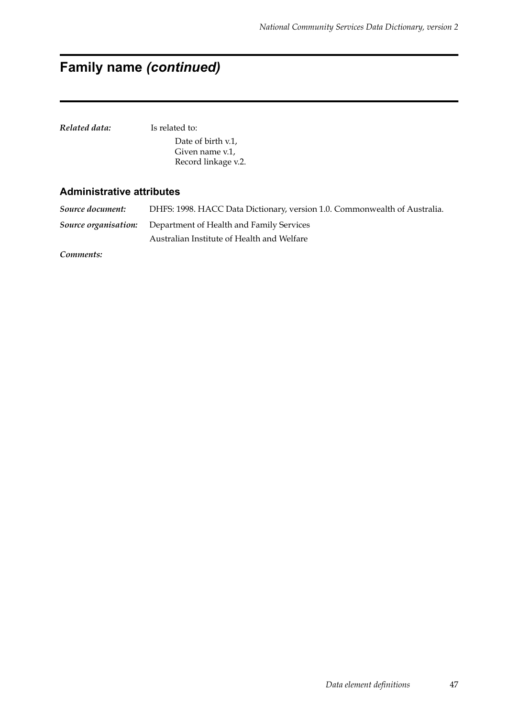## **Family name** *(continued)*

| Related data: | Is related to:      |
|---------------|---------------------|
|               | Date of birth v.1,  |
|               | Given name y.1.     |
|               | Record linkage v.2. |
|               |                     |

#### **Administrative attributes**

*Source document:* DHFS: 1998. HACC Data Dictionary, version 1.0. Commonwealth of Australia. *Source organisation:* Department of Health and Family Services Australian Institute of Health and Welfare

*Comments:*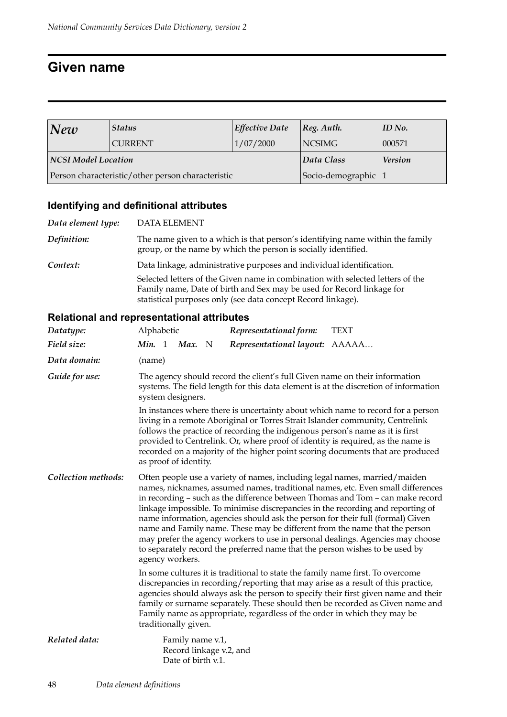## **Given name**

| $\vert\textit{New}\vert$ | Effective Date<br><b>Status</b>                   |            | $ Reg.$ Auth.         | ID No. |
|--------------------------|---------------------------------------------------|------------|-----------------------|--------|
|                          | <b>CURRENT</b>                                    | 1/07/2000  | NCSIMG                | 000571 |
| NCSI Model Location      |                                                   | Data Class | <b>Version</b>        |        |
|                          | Person characteristic/other person characteristic |            | Socio-demographic   1 |        |

## **Identifying and definitional attributes**

| Data element type: | <b>DATA ELEMENT</b>                                                                                                                                                                                                     |
|--------------------|-------------------------------------------------------------------------------------------------------------------------------------------------------------------------------------------------------------------------|
| Definition:        | The name given to a which is that person's identifying name within the family<br>group, or the name by which the person is socially identified.                                                                         |
| Context:           | Data linkage, administrative purposes and individual identification.                                                                                                                                                    |
|                    | Selected letters of the Given name in combination with selected letters of the<br>Family name, Date of birth and Sex may be used for Record linkage for<br>statistical purposes only (see data concept Record linkage). |

| Datatype:           | Alphabetic                                                                                                                                                                                                                                                                                                                                                                                                                                                                                                                                                                                                                                                                              |  |                                        |  | Representational form:                                                                                                                                     | <b>TEXT</b>                                                                                                                                                                                                                                             |
|---------------------|-----------------------------------------------------------------------------------------------------------------------------------------------------------------------------------------------------------------------------------------------------------------------------------------------------------------------------------------------------------------------------------------------------------------------------------------------------------------------------------------------------------------------------------------------------------------------------------------------------------------------------------------------------------------------------------------|--|----------------------------------------|--|------------------------------------------------------------------------------------------------------------------------------------------------------------|---------------------------------------------------------------------------------------------------------------------------------------------------------------------------------------------------------------------------------------------------------|
| Field size:         | <b>Min.</b> 1                                                                                                                                                                                                                                                                                                                                                                                                                                                                                                                                                                                                                                                                           |  | Max. N                                 |  | Representational layout: AAAAA                                                                                                                             |                                                                                                                                                                                                                                                         |
| Data domain:        | (name)                                                                                                                                                                                                                                                                                                                                                                                                                                                                                                                                                                                                                                                                                  |  |                                        |  |                                                                                                                                                            |                                                                                                                                                                                                                                                         |
| Guide for use:      |                                                                                                                                                                                                                                                                                                                                                                                                                                                                                                                                                                                                                                                                                         |  | system designers.                      |  | The agency should record the client's full Given name on their information                                                                                 | systems. The field length for this data element is at the discretion of information                                                                                                                                                                     |
|                     | In instances where there is uncertainty about which name to record for a person<br>living in a remote Aboriginal or Torres Strait Islander community, Centrelink<br>follows the practice of recording the indigenous person's name as it is first<br>provided to Centrelink. Or, where proof of identity is required, as the name is<br>recorded on a majority of the higher point scoring documents that are produced<br>as proof of identity.                                                                                                                                                                                                                                         |  |                                        |  |                                                                                                                                                            |                                                                                                                                                                                                                                                         |
| Collection methods: | Often people use a variety of names, including legal names, married/maiden<br>names, nicknames, assumed names, traditional names, etc. Even small differences<br>in recording – such as the difference between Thomas and Tom – can make record<br>linkage impossible. To minimise discrepancies in the recording and reporting of<br>name information, agencies should ask the person for their full (formal) Given<br>name and Family name. These may be different from the name that the person<br>may prefer the agency workers to use in personal dealings. Agencies may choose<br>to separately record the preferred name that the person wishes to be used by<br>agency workers. |  |                                        |  |                                                                                                                                                            |                                                                                                                                                                                                                                                         |
|                     |                                                                                                                                                                                                                                                                                                                                                                                                                                                                                                                                                                                                                                                                                         |  | traditionally given.                   |  | In some cultures it is traditional to state the family name first. To overcome<br>Family name as appropriate, regardless of the order in which they may be | discrepancies in recording/reporting that may arise as a result of this practice,<br>agencies should always ask the person to specify their first given name and their<br>family or surname separately. These should then be recorded as Given name and |
| Related data:       |                                                                                                                                                                                                                                                                                                                                                                                                                                                                                                                                                                                                                                                                                         |  | Family name v.1,<br>Date of birth v.1. |  | Record linkage v.2, and                                                                                                                                    |                                                                                                                                                                                                                                                         |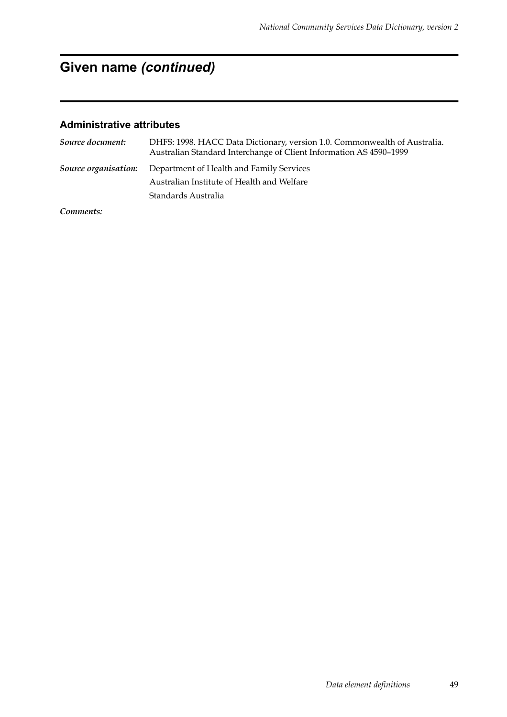## **Given name** *(continued)*

#### **Administrative attributes**

| Source document:     | DHFS: 1998. HACC Data Dictionary, version 1.0. Commonwealth of Australia.<br>Australian Standard Interchange of Client Information AS 4590-1999 |
|----------------------|-------------------------------------------------------------------------------------------------------------------------------------------------|
| Source organisation: | Department of Health and Family Services                                                                                                        |
|                      | Australian Institute of Health and Welfare                                                                                                      |
|                      | Standards Australia                                                                                                                             |
|                      |                                                                                                                                                 |

*Comments:*